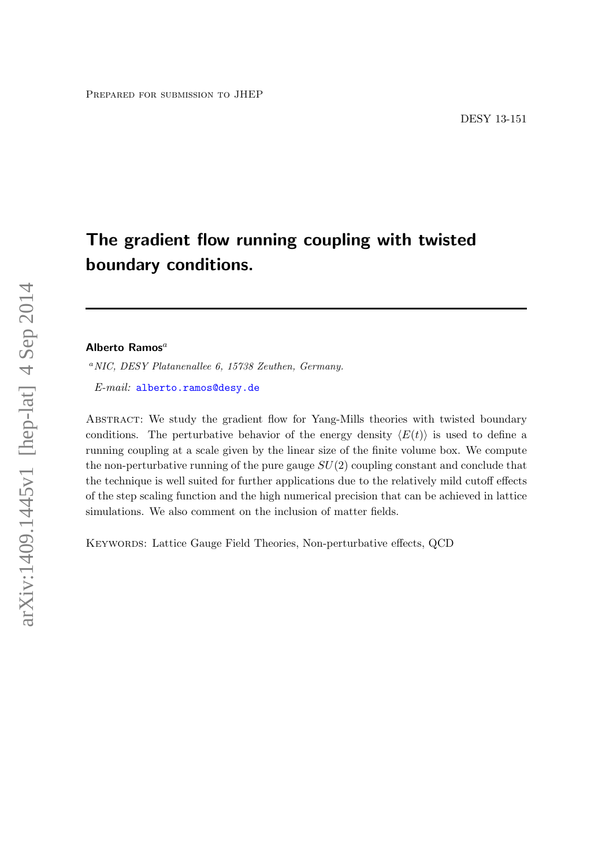# The gradient flow running coupling with twisted boundary conditions.

# Alberto Ramos $^a$

<sup>a</sup>NIC, DESY Platanenallee 6, 15738 Zeuthen, Germany.

E-mail: [alberto.ramos@desy.de](mailto:alberto.ramos@desy.de)

ABSTRACT: We study the gradient flow for Yang-Mills theories with twisted boundary conditions. The perturbative behavior of the energy density  $\langle E(t) \rangle$  is used to define a running coupling at a scale given by the linear size of the finite volume box. We compute the non-perturbative running of the pure gauge  $SU(2)$  coupling constant and conclude that the technique is well suited for further applications due to the relatively mild cutoff effects of the step scaling function and the high numerical precision that can be achieved in lattice simulations. We also comment on the inclusion of matter fields.

Keywords: Lattice Gauge Field Theories, Non-perturbative effects, QCD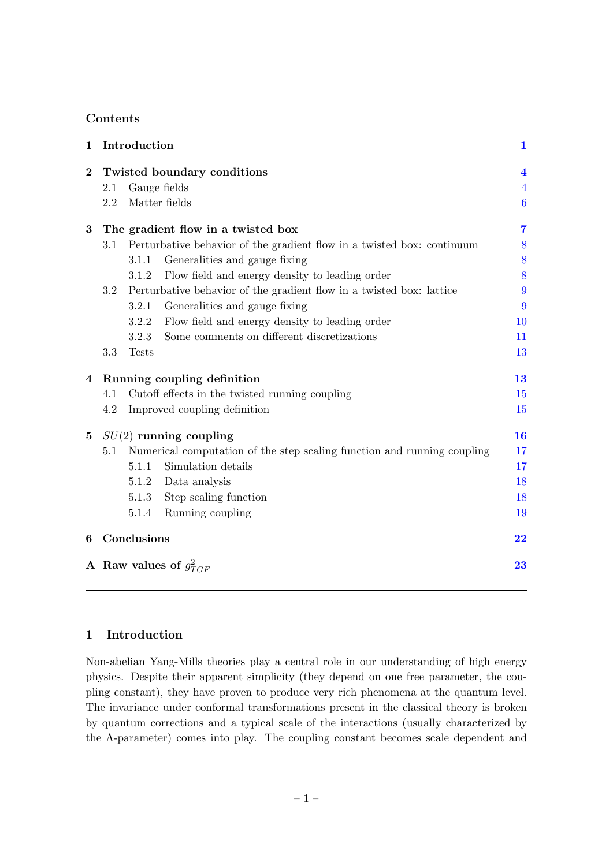# Contents

| $\mathbf 1$ |     | Introduction |                                                                         | $\mathbf{1}$            |
|-------------|-----|--------------|-------------------------------------------------------------------------|-------------------------|
| $\bf{2}$    |     |              | Twisted boundary conditions                                             | $\overline{\mathbf{4}}$ |
|             | 2.1 |              | Gauge fields                                                            | $\overline{4}$          |
|             | 2.2 |              | Matter fields                                                           | $\boldsymbol{6}$        |
| 3           |     |              | The gradient flow in a twisted box                                      | $\overline{7}$          |
|             | 3.1 |              | Perturbative behavior of the gradient flow in a twisted box: continuum  | 8                       |
|             |     | 3.1.1        | Generalities and gauge fixing                                           | 8                       |
|             |     | 3.1.2        | Flow field and energy density to leading order                          | 8                       |
|             | 3.2 |              | Perturbative behavior of the gradient flow in a twisted box: lattice    | 9                       |
|             |     | 3.2.1        | Generalities and gauge fixing                                           | 9                       |
|             |     | 3.2.2        | Flow field and energy density to leading order                          | 10                      |
|             |     | 3.2.3        | Some comments on different discretizations                              | 11                      |
|             | 3.3 | <b>Tests</b> |                                                                         | 13                      |
| 4           |     |              | Running coupling definition                                             | 13                      |
|             | 4.1 |              | Cutoff effects in the twisted running coupling                          | 15                      |
|             | 4.2 |              | Improved coupling definition                                            | 15                      |
| $\bf{5}$    |     |              | $SU(2)$ running coupling                                                | 16                      |
|             | 5.1 |              | Numerical computation of the step scaling function and running coupling | 17                      |
|             |     | 5.1.1        | Simulation details                                                      | 17                      |
|             |     | 5.1.2        | Data analysis                                                           | 18                      |
|             |     | 5.1.3        | Step scaling function                                                   | 18                      |
|             |     | 5.1.4        | Running coupling                                                        | 19                      |
| 6           |     | Conclusions  |                                                                         | 22                      |
|             |     |              | A Raw values of $g_{TGF}^2$                                             | 23                      |

# <span id="page-1-0"></span>1 Introduction

Non-abelian Yang-Mills theories play a central role in our understanding of high energy physics. Despite their apparent simplicity (they depend on one free parameter, the coupling constant), they have proven to produce very rich phenomena at the quantum level. The invariance under conformal transformations present in the classical theory is broken by quantum corrections and a typical scale of the interactions (usually characterized by the Λ-parameter) comes into play. The coupling constant becomes scale dependent and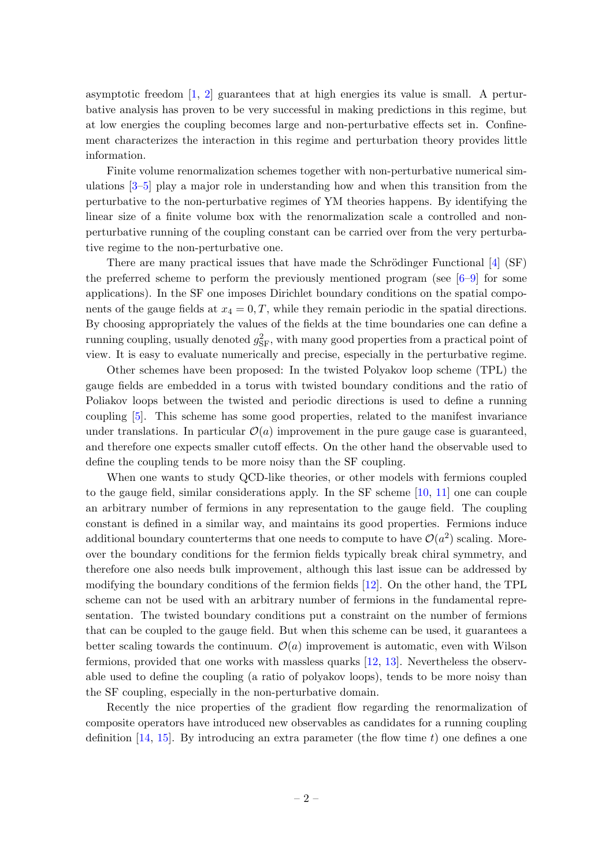asymptotic freedom  $\begin{bmatrix} 1, 2 \end{bmatrix}$  guarantees that at high energies its value is small. A perturbative analysis has proven to be very successful in making predictions in this regime, but at low energies the coupling becomes large and non-perturbative effects set in. Confinement characterizes the interaction in this regime and perturbation theory provides little information.

Finite volume renormalization schemes together with non-perturbative numerical simulations [\[3–](#page-23-3)[5\]](#page-23-4) play a major role in understanding how and when this transition from the perturbative to the non-perturbative regimes of YM theories happens. By identifying the linear size of a finite volume box with the renormalization scale a controlled and nonperturbative running of the coupling constant can be carried over from the very perturbative regime to the non-perturbative one.

There are many practical issues that have made the Schrödinger Functional  $[4]$  (SF) the preferred scheme to perform the previously mentioned program (see  $[6-9]$  $[6-9]$  for some applications). In the SF one imposes Dirichlet boundary conditions on the spatial components of the gauge fields at  $x_4 = 0, T$ , while they remain periodic in the spatial directions. By choosing appropriately the values of the fields at the time boundaries one can define a running coupling, usually denoted  $g_{\rm SF}^2$ , with many good properties from a practical point of view. It is easy to evaluate numerically and precise, especially in the perturbative regime.

Other schemes have been proposed: In the twisted Polyakov loop scheme (TPL) the gauge fields are embedded in a torus with twisted boundary conditions and the ratio of Poliakov loops between the twisted and periodic directions is used to define a running coupling [\[5\]](#page-23-4). This scheme has some good properties, related to the manifest invariance under translations. In particular  $\mathcal{O}(a)$  improvement in the pure gauge case is guaranteed, and therefore one expects smaller cutoff effects. On the other hand the observable used to define the coupling tends to be more noisy than the SF coupling.

When one wants to study QCD-like theories, or other models with fermions coupled to the gauge field, similar considerations apply. In the SF scheme [\[10,](#page-24-2) [11\]](#page-25-0) one can couple an arbitrary number of fermions in any representation to the gauge field. The coupling constant is defined in a similar way, and maintains its good properties. Fermions induce additional boundary counterterms that one needs to compute to have  $\mathcal{O}(a^2)$  scaling. Moreover the boundary conditions for the fermion fields typically break chiral symmetry, and therefore one also needs bulk improvement, although this last issue can be addressed by modifying the boundary conditions of the fermion fields [\[12\]](#page-25-1). On the other hand, the TPL scheme can not be used with an arbitrary number of fermions in the fundamental representation. The twisted boundary conditions put a constraint on the number of fermions that can be coupled to the gauge field. But when this scheme can be used, it guarantees a better scaling towards the continuum.  $\mathcal{O}(a)$  improvement is automatic, even with Wilson fermions, provided that one works with massless quarks [\[12,](#page-25-1) [13\]](#page-25-2). Nevertheless the observable used to define the coupling (a ratio of polyakov loops), tends to be more noisy than the SF coupling, especially in the non-perturbative domain.

Recently the nice properties of the gradient flow regarding the renormalization of composite operators have introduced new observables as candidates for a running coupling definition  $[14, 15]$  $[14, 15]$ . By introducing an extra parameter (the flow time t) one defines a one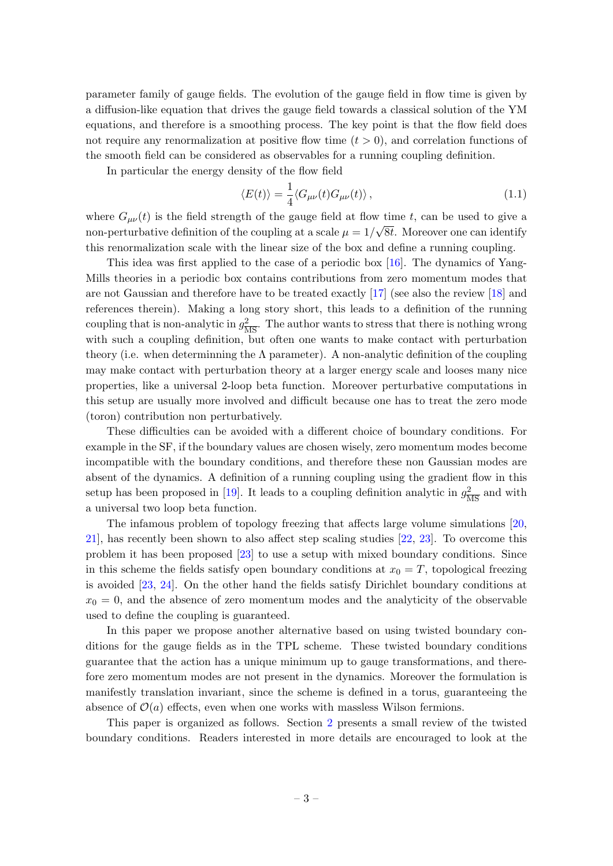parameter family of gauge fields. The evolution of the gauge field in flow time is given by a diffusion-like equation that drives the gauge field towards a classical solution of the YM equations, and therefore is a smoothing process. The key point is that the flow field does not require any renormalization at positive flow time  $(t > 0)$ , and correlation functions of the smooth field can be considered as observables for a running coupling definition.

In particular the energy density of the flow field

$$
\langle E(t) \rangle = \frac{1}{4} \langle G_{\mu\nu}(t) G_{\mu\nu}(t) \rangle, \qquad (1.1)
$$

where  $G_{\mu\nu}(t)$  is the field strength of the gauge field at flow time t, can be used to give a non-perturbative definition of the coupling at a scale  $\mu = 1/\sqrt{8t}$ . Moreover one can identify this renormalization scale with the linear size of the box and define a running coupling.

This idea was first applied to the case of a periodic box [\[16\]](#page-25-5). The dynamics of Yang-Mills theories in a periodic box contains contributions from zero momentum modes that are not Gaussian and therefore have to be treated exactly [\[17\]](#page-25-6) (see also the review [\[18\]](#page-25-7) and references therein). Making a long story short, this leads to a definition of the running coupling that is non-analytic in  $g_{\overline{\rm MS}}^2$ . The author wants to stress that there is nothing wrong with such a coupling definition, but often one wants to make contact with perturbation theory (i.e. when determining the  $\Lambda$  parameter). A non-analytic definition of the coupling may make contact with perturbation theory at a larger energy scale and looses many nice properties, like a universal 2-loop beta function. Moreover perturbative computations in this setup are usually more involved and difficult because one has to treat the zero mode (toron) contribution non perturbatively.

These difficulties can be avoided with a different choice of boundary conditions. For example in the SF, if the boundary values are chosen wisely, zero momentum modes become incompatible with the boundary conditions, and therefore these non Gaussian modes are absent of the dynamics. A definition of a running coupling using the gradient flow in this setup has been proposed in [\[19\]](#page-25-8). It leads to a coupling definition analytic in  $g_{\overline{\rm MS}}^2$  and with a universal two loop beta function.

The infamous problem of topology freezing that affects large volume simulations [\[20,](#page-25-9) [21\]](#page-25-10), has recently been shown to also affect step scaling studies [\[22,](#page-25-11) [23\]](#page-25-12). To overcome this problem it has been proposed [\[23\]](#page-25-12) to use a setup with mixed boundary conditions. Since in this scheme the fields satisfy open boundary conditions at  $x_0 = T$ , topological freezing is avoided [\[23,](#page-25-12) [24\]](#page-25-13). On the other hand the fields satisfy Dirichlet boundary conditions at  $x_0 = 0$ , and the absence of zero momentum modes and the analyticity of the observable used to define the coupling is guaranteed.

In this paper we propose another alternative based on using twisted boundary conditions for the gauge fields as in the TPL scheme. These twisted boundary conditions guarantee that the action has a unique minimum up to gauge transformations, and therefore zero momentum modes are not present in the dynamics. Moreover the formulation is manifestly translation invariant, since the scheme is defined in a torus, guaranteeing the absence of  $\mathcal{O}(a)$  effects, even when one works with massless Wilson fermions.

This paper is organized as follows. Section [2](#page-4-0) presents a small review of the twisted boundary conditions. Readers interested in more details are encouraged to look at the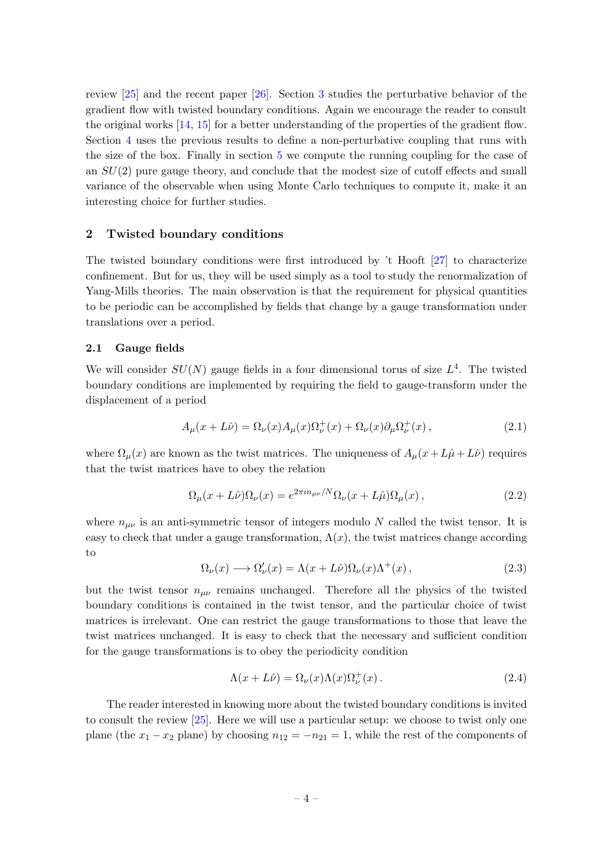review [\[25\]](#page-25-14) and the recent paper [\[26\]](#page-25-15). Section [3](#page-7-0) studies the perturbative behavior of the gradient flow with twisted boundary conditions. Again we encourage the reader to consult the original works [\[14,](#page-25-3) [15\]](#page-25-4) for a better understanding of the properties of the gradient flow. Section [4](#page-13-1) uses the previous results to define a non-perturbative coupling that runs with the size of the box. Finally in section [5](#page-16-0) we compute the running coupling for the case of an  $SU(2)$  pure gauge theory, and conclude that the modest size of cutoff effects and small variance of the observable when using Monte Carlo techniques to compute it, make it an interesting choice for further studies.

#### <span id="page-4-0"></span>2 Twisted boundary conditions

The twisted boundary conditions were first introduced by 't Hooft [\[27\]](#page-25-16) to characterize confinement. But for us, they will be used simply as a tool to study the renormalization of Yang-Mills theories. The main observation is that the requirement for physical quantities to be periodic can be accomplished by fields that change by a gauge transformation under translations over a period.

#### <span id="page-4-1"></span>2.1 Gauge fields

We will consider  $SU(N)$  gauge fields in a four dimensional torus of size  $L^4$ . The twisted boundary conditions are implemented by requiring the field to gauge-transform under the displacement of a period

$$
A_{\mu}(x+L\hat{\nu}) = \Omega_{\nu}(x)A_{\mu}(x)\Omega_{\nu}^{+}(x) + \Omega_{\nu}(x)\partial_{\mu}\Omega_{\nu}^{+}(x) , \qquad (2.1)
$$

where  $\Omega_{\mu}(x)$  are known as the twist matrices. The uniqueness of  $A_{\mu}(x+L\hat{\mu}+L\hat{\nu})$  requires that the twist matrices have to obey the relation

<span id="page-4-2"></span>
$$
\Omega_{\mu}(x+L\hat{\nu})\Omega_{\nu}(x) = e^{2\pi i n_{\mu\nu}/N}\Omega_{\nu}(x+L\hat{\mu})\Omega_{\mu}(x) , \qquad (2.2)
$$

where  $n_{\mu\nu}$  is an anti-symmetric tensor of integers modulo N called the twist tensor. It is easy to check that under a gauge transformation,  $\Lambda(x)$ , the twist matrices change according to

$$
\Omega_{\nu}(x) \longrightarrow \Omega_{\nu}'(x) = \Lambda(x + L\hat{\nu})\Omega_{\nu}(x)\Lambda^{+}(x) , \qquad (2.3)
$$

but the twist tensor  $n_{\mu\nu}$  remains unchanged. Therefore all the physics of the twisted boundary conditions is contained in the twist tensor, and the particular choice of twist matrices is irrelevant. One can restrict the gauge transformations to those that leave the twist matrices unchanged. It is easy to check that the necessary and sufficient condition for the gauge transformations is to obey the periodicity condition

<span id="page-4-3"></span>
$$
\Lambda(x+L\hat{\nu}) = \Omega_{\nu}(x)\Lambda(x)\Omega_{\nu}^{+}(x). \tag{2.4}
$$

The reader interested in knowing more about the twisted boundary conditions is invited to consult the review [\[25\]](#page-25-14). Here we will use a particular setup: we choose to twist only one plane (the  $x_1 - x_2$  plane) by choosing  $n_{12} = -n_{21} = 1$ , while the rest of the components of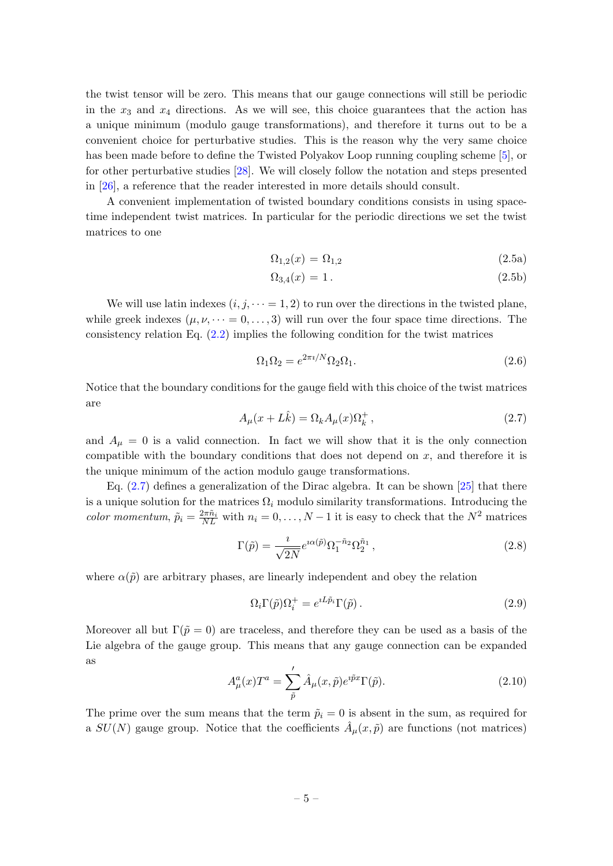the twist tensor will be zero. This means that our gauge connections will still be periodic in the  $x_3$  and  $x_4$  directions. As we will see, this choice guarantees that the action has a unique minimum (modulo gauge transformations), and therefore it turns out to be a convenient choice for perturbative studies. This is the reason why the very same choice has been made before to define the Twisted Polyakov Loop running coupling scheme [\[5\]](#page-23-4), or for other perturbative studies [\[28\]](#page-25-17). We will closely follow the notation and steps presented in [\[26\]](#page-25-15), a reference that the reader interested in more details should consult.

A convenient implementation of twisted boundary conditions consists in using spacetime independent twist matrices. In particular for the periodic directions we set the twist matrices to one

$$
\Omega_{1,2}(x) = \Omega_{1,2} \tag{2.5a}
$$

$$
\Omega_{3,4}(x) = 1. \tag{2.5b}
$$

We will use latin indexes  $(i, j, \dots = 1, 2)$  to run over the directions in the twisted plane, while greek indexes  $(\mu, \nu, \dots = 0, \dots, 3)$  will run over the four space time directions. The consistency relation Eq. [\(2.2\)](#page-4-2) implies the following condition for the twist matrices

$$
\Omega_1 \Omega_2 = e^{2\pi i/N} \Omega_2 \Omega_1. \tag{2.6}
$$

Notice that the boundary conditions for the gauge field with this choice of the twist matrices are

<span id="page-5-0"></span>
$$
A_{\mu}(x+L\hat{k}) = \Omega_k A_{\mu}(x)\Omega_k^+, \qquad (2.7)
$$

and  $A_{\mu} = 0$  is a valid connection. In fact we will show that it is the only connection compatible with the boundary conditions that does not depend on  $x$ , and therefore it is the unique minimum of the action modulo gauge transformations.

Eq. [\(2.7\)](#page-5-0) defines a generalization of the Dirac algebra. It can be shown [\[25\]](#page-25-14) that there is a unique solution for the matrices  $\Omega_i$  modulo similarity transformations. Introducing the color momentum,  $\tilde{p}_i = \frac{2\pi \tilde{n}_i}{NL}$  with  $n_i = 0, \ldots, N-1$  it is easy to check that the  $N^2$  matrices

<span id="page-5-1"></span>
$$
\Gamma(\tilde{p}) = \frac{i}{\sqrt{2N}} e^{i\alpha(\tilde{p})} \Omega_1^{-\tilde{n}_2} \Omega_2^{\tilde{n}_1}, \qquad (2.8)
$$

where  $\alpha(\tilde{p})$  are arbitrary phases, are linearly independent and obey the relation

$$
\Omega_i \Gamma(\tilde{p}) \Omega_i^+ = e^{iL\tilde{p}_i} \Gamma(\tilde{p}). \tag{2.9}
$$

Moreover all but  $\Gamma(\tilde{p} = 0)$  are traceless, and therefore they can be used as a basis of the Lie algebra of the gauge group. This means that any gauge connection can be expanded as

$$
A^a_\mu(x)T^a = \sum'_{\tilde{p}} \hat{A}_\mu(x,\tilde{p})e^{i\tilde{p}x}\Gamma(\tilde{p}).
$$
\n(2.10)

The prime over the sum means that the term  $\tilde{p}_i = 0$  is absent in the sum, as required for a  $SU(N)$  gauge group. Notice that the coefficients  $\hat{A}_{\mu}(x,\tilde{p})$  are functions (not matrices)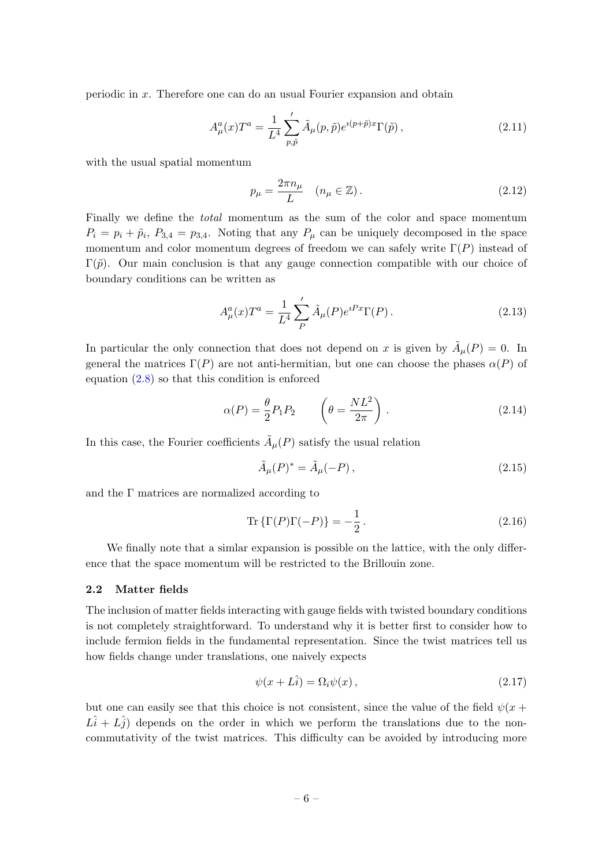periodic in x. Therefore one can do an usual Fourier expansion and obtain

$$
A_{\mu}^{a}(x)T^{a} = \frac{1}{L^{4}} \sum_{p,\tilde{p}}' \tilde{A}_{\mu}(p,\tilde{p})e^{i(p+\tilde{p})x}\Gamma(\tilde{p}),
$$
\n(2.11)

with the usual spatial momentum

$$
p_{\mu} = \frac{2\pi n_{\mu}}{L} \quad (n_{\mu} \in \mathbb{Z}). \tag{2.12}
$$

Finally we define the *total* momentum as the sum of the color and space momentum  $P_i = p_i + \tilde{p}_i, P_{3,4} = p_{3,4}.$  Noting that any  $P_\mu$  can be uniquely decomposed in the space momentum and color momentum degrees of freedom we can safely write  $\Gamma(P)$  instead of  $\Gamma(\tilde{p})$ . Our main conclusion is that any gauge connection compatible with our choice of boundary conditions can be written as

<span id="page-6-1"></span>
$$
A_{\mu}^{a}(x)T^{a} = \frac{1}{L^{4}}\sum_{P}^{\prime}\tilde{A}_{\mu}(P)e^{iPx}\Gamma(P).
$$
 (2.13)

In particular the only connection that does not depend on x is given by  $\tilde{A}_{\mu}(P) = 0$ . In general the matrices  $\Gamma(P)$  are not anti-hermitian, but one can choose the phases  $\alpha(P)$  of equation [\(2.8\)](#page-5-1) so that this condition is enforced

$$
\alpha(P) = \frac{\theta}{2} P_1 P_2 \qquad \left(\theta = \frac{NL^2}{2\pi}\right). \tag{2.14}
$$

In this case, the Fourier coefficients  $\tilde{A}_{\mu}(P)$  satisfy the usual relation

$$
\tilde{A}_{\mu}(P)^{*} = \tilde{A}_{\mu}(-P),\tag{2.15}
$$

and the  $\Gamma$  matrices are normalized according to

$$
\operatorname{Tr}\left\{\Gamma(P)\Gamma(-P)\right\} = -\frac{1}{2} \,. \tag{2.16}
$$

We finally note that a simlar expansion is possible on the lattice, with the only difference that the space momentum will be restricted to the Brillouin zone.

#### <span id="page-6-0"></span>2.2 Matter fields

The inclusion of matter fields interacting with gauge fields with twisted boundary conditions is not completely straightforward. To understand why it is better first to consider how to include fermion fields in the fundamental representation. Since the twist matrices tell us how fields change under translations, one naively expects

$$
\psi(x + L\hat{i}) = \Omega_i \psi(x) , \qquad (2.17)
$$

but one can easily see that this choice is not consistent, since the value of the field  $\psi(x +$  $L\hat{i} + L\hat{j}$  depends on the order in which we perform the translations due to the noncommutativity of the twist matrices. This difficulty can be avoided by introducing more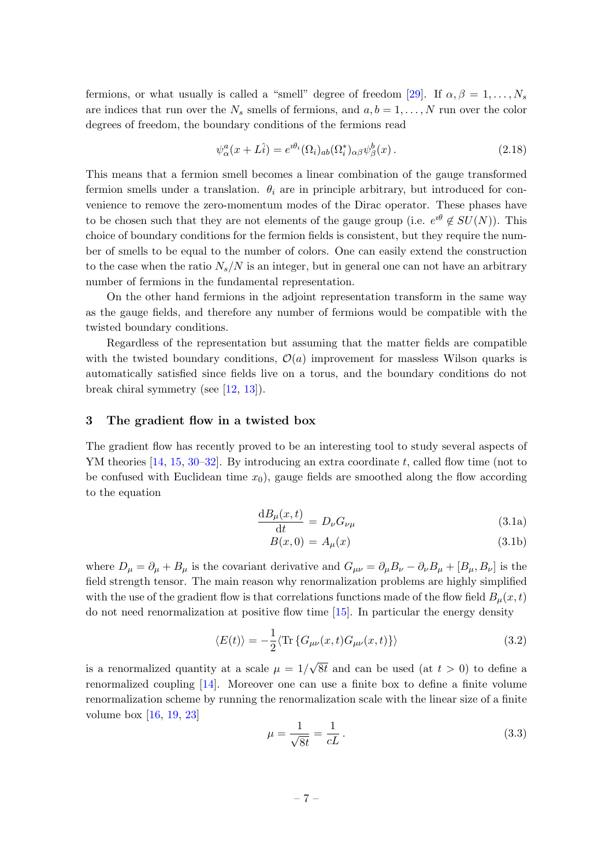fermions, or what usually is called a "smell" degree of freedom [\[29\]](#page-25-18). If  $\alpha, \beta = 1, \ldots, N_s$ are indices that run over the  $N_s$  smells of fermions, and  $a, b = 1, \ldots, N$  run over the color degrees of freedom, the boundary conditions of the fermions read

$$
\psi_{\alpha}^{a}(x+L\hat{i}) = e^{i\theta_{i}}(\Omega_{i})_{ab}(\Omega_{i}^{*})_{\alpha\beta}\psi_{\beta}^{b}(x).
$$
\n(2.18)

This means that a fermion smell becomes a linear combination of the gauge transformed fermion smells under a translation.  $\theta_i$  are in principle arbitrary, but introduced for convenience to remove the zero-momentum modes of the Dirac operator. These phases have to be chosen such that they are not elements of the gauge group (i.e.  $e^{i\theta} \notin SU(N)$ ). This choice of boundary conditions for the fermion fields is consistent, but they require the number of smells to be equal to the number of colors. One can easily extend the construction to the case when the ratio  $N_s/N$  is an integer, but in general one can not have an arbitrary number of fermions in the fundamental representation.

On the other hand fermions in the adjoint representation transform in the same way as the gauge fields, and therefore any number of fermions would be compatible with the twisted boundary conditions.

Regardless of the representation but assuming that the matter fields are compatible with the twisted boundary conditions,  $\mathcal{O}(a)$  improvement for massless Wilson quarks is automatically satisfied since fields live on a torus, and the boundary conditions do not break chiral symmetry (see [\[12,](#page-25-1) [13\]](#page-25-2)).

#### <span id="page-7-0"></span>3 The gradient flow in a twisted box

The gradient flow has recently proved to be an interesting tool to study several aspects of YM theories  $[14, 15, 30-32]$  $[14, 15, 30-32]$  $[14, 15, 30-32]$  $[14, 15, 30-32]$ . By introducing an extra coordinate t, called flow time (not to be confused with Euclidean time  $x_0$ , gauge fields are smoothed along the flow according to the equation

<span id="page-7-1"></span>
$$
\frac{\mathrm{d}B_{\mu}(x,t)}{\mathrm{d}t} = D_{\nu}G_{\nu\mu} \tag{3.1a}
$$

$$
B(x,0) = A_{\mu}(x) \tag{3.1b}
$$

where  $D_{\mu} = \partial_{\mu} + B_{\mu}$  is the covariant derivative and  $G_{\mu\nu} = \partial_{\mu}B_{\nu} - \partial_{\nu}B_{\mu} + [B_{\mu}, B_{\nu}]$  is the field strength tensor. The main reason why renormalization problems are highly simplified with the use of the gradient flow is that correlations functions made of the flow field  $B_{\mu}(x, t)$ do not need renormalization at positive flow time [\[15\]](#page-25-4). In particular the energy density

$$
\langle E(t) \rangle = -\frac{1}{2} \langle \text{Tr} \{ G_{\mu\nu}(x, t) G_{\mu\nu}(x, t) \} \rangle \tag{3.2}
$$

is a renormalized quantity at a scale  $\mu = 1/$  $8t$  and can be used (at  $t > 0$ ) to define a renormalized coupling  $[14]$ . Moreover one can use a finite box to define a finite volume renormalization scheme by running the renormalization scale with the linear size of a finite volume box [\[16,](#page-25-5) [19,](#page-25-8) [23\]](#page-25-12)

$$
\mu = \frac{1}{\sqrt{8t}} = \frac{1}{cL} \,. \tag{3.3}
$$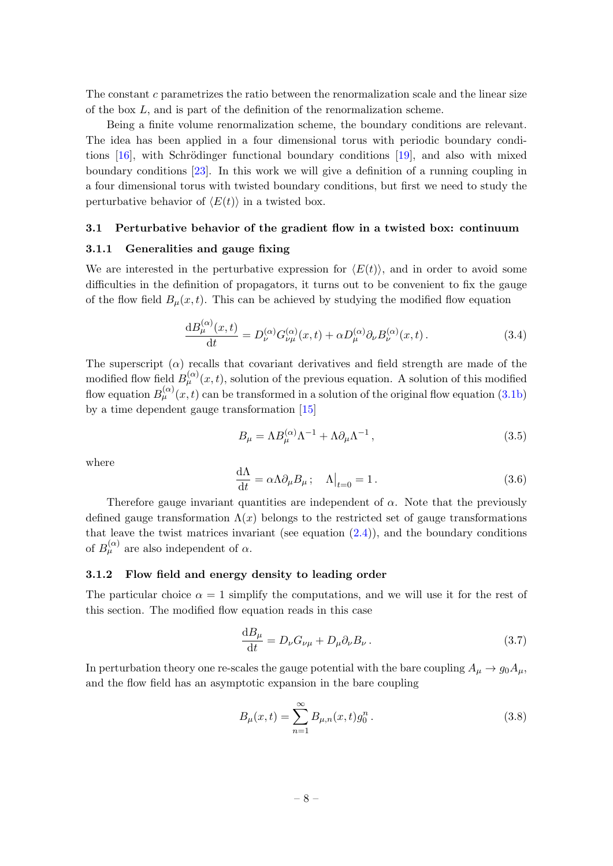The constant c parametrizes the ratio between the renormalization scale and the linear size of the box L, and is part of the definition of the renormalization scheme.

Being a finite volume renormalization scheme, the boundary conditions are relevant. The idea has been applied in a four dimensional torus with periodic boundary conditions  $[16]$ , with Schrödinger functional boundary conditions  $[19]$ , and also with mixed boundary conditions [\[23\]](#page-25-12). In this work we will give a definition of a running coupling in a four dimensional torus with twisted boundary conditions, but first we need to study the perturbative behavior of  $\langle E(t) \rangle$  in a twisted box.

#### <span id="page-8-0"></span>3.1 Perturbative behavior of the gradient flow in a twisted box: continuum

#### <span id="page-8-1"></span>3.1.1 Generalities and gauge fixing

We are interested in the perturbative expression for  $\langle E(t) \rangle$ , and in order to avoid some difficulties in the definition of propagators, it turns out to be convenient to fix the gauge of the flow field  $B_{\mu}(x,t)$ . This can be achieved by studying the modified flow equation

$$
\frac{\mathrm{d}B_{\mu}^{(\alpha)}(x,t)}{\mathrm{d}t} = D_{\nu}^{(\alpha)}G_{\nu\mu}^{(\alpha)}(x,t) + \alpha D_{\mu}^{(\alpha)}\partial_{\nu}B_{\nu}^{(\alpha)}(x,t). \tag{3.4}
$$

The superscript  $(\alpha)$  recalls that covariant derivatives and field strength are made of the modified flow field  $B_{\mu}^{(\alpha)}(x,t)$ , solution of the previous equation. A solution of this modified flow equation  $B_{\mu}^{(\alpha)}(x,t)$  can be transformed in a solution of the original flow equation [\(3.1b\)](#page-7-1) by a time dependent gauge transformation [\[15\]](#page-25-4)

$$
B_{\mu} = \Lambda B_{\mu}^{(\alpha)} \Lambda^{-1} + \Lambda \partial_{\mu} \Lambda^{-1}, \qquad (3.5)
$$

where

$$
\frac{\mathrm{d}\Lambda}{\mathrm{d}t} = \alpha \Lambda \partial_{\mu} B_{\mu}; \quad \Lambda|_{t=0} = 1. \tag{3.6}
$$

Therefore gauge invariant quantities are independent of  $\alpha$ . Note that the previously defined gauge transformation  $\Lambda(x)$  belongs to the restricted set of gauge transformations that leave the twist matrices invariant (see equation  $(2.4)$ ), and the boundary conditions of  $B_{\mu}^{(\alpha)}$  are also independent of  $\alpha$ .

#### <span id="page-8-2"></span>3.1.2 Flow field and energy density to leading order

The particular choice  $\alpha = 1$  simplify the computations, and we will use it for the rest of this section. The modified flow equation reads in this case

<span id="page-8-3"></span>
$$
\frac{\mathrm{d}B_{\mu}}{\mathrm{d}t} = D_{\nu}G_{\nu\mu} + D_{\mu}\partial_{\nu}B_{\nu}.
$$
\n(3.7)

In perturbation theory one re-scales the gauge potential with the bare coupling  $A_{\mu} \to g_0 A_{\mu}$ , and the flow field has an asymptotic expansion in the bare coupling

<span id="page-8-4"></span>
$$
B_{\mu}(x,t) = \sum_{n=1}^{\infty} B_{\mu,n}(x,t)g_0^n.
$$
 (3.8)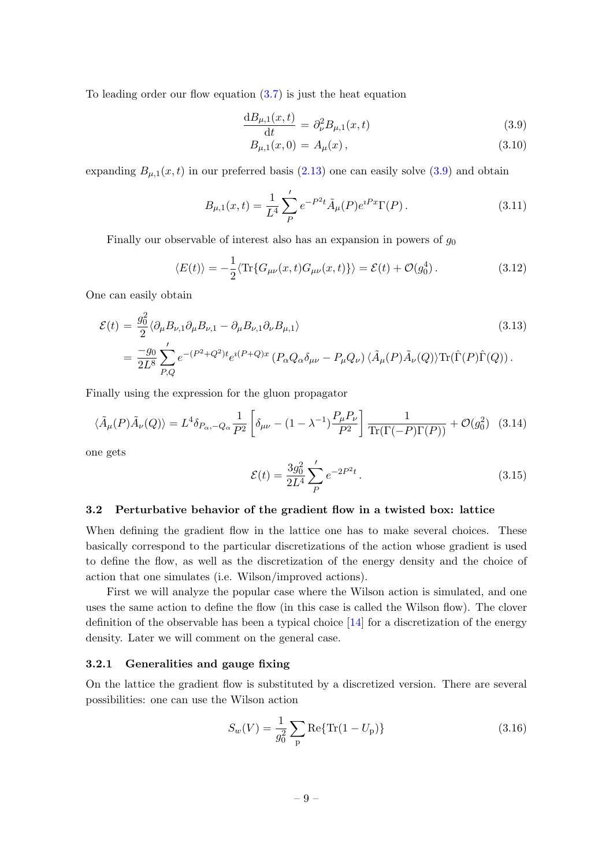To leading order our flow equation  $(3.7)$  is just the heat equation

$$
\frac{\mathrm{d}B_{\mu,1}(x,t)}{\mathrm{d}t} = \partial_{\nu}^{2} B_{\mu,1}(x,t) \tag{3.9}
$$

<span id="page-9-2"></span>
$$
B_{\mu,1}(x,0) = A_{\mu}(x), \qquad (3.10)
$$

expanding  $B_{\mu,1}(x,t)$  in our preferred basis [\(2.13\)](#page-6-1) one can easily solve [\(3.9\)](#page-9-2) and obtain

$$
B_{\mu,1}(x,t) = \frac{1}{L^4} \sum_{P}^{\prime} e^{-P^2 t} \tilde{A}_{\mu}(P) e^{iPx} \Gamma(P).
$$
 (3.11)

Finally our observable of interest also has an expansion in powers of  $g_0$ 

$$
\langle E(t) \rangle = -\frac{1}{2} \langle \text{Tr}\{G_{\mu\nu}(x,t)G_{\mu\nu}(x,t)\} \rangle = \mathcal{E}(t) + \mathcal{O}(g_0^4). \tag{3.12}
$$

One can easily obtain

 $\alpha$ 

$$
\mathcal{E}(t) = \frac{g_0^2}{2} \langle \partial_\mu B_{\nu,1} \partial_\mu B_{\nu,1} - \partial_\mu B_{\nu,1} \partial_\nu B_{\mu,1} \rangle
$$
\n
$$
= \frac{-g_0}{2L^8} \sum_{P,Q}^{\prime} e^{-(P^2 + Q^2)t} e^{i(P+Q)x} \left( P_\alpha Q_\alpha \delta_{\mu\nu} - P_\mu Q_\nu \right) \langle \tilde{A}_\mu(P) \tilde{A}_\nu(Q) \rangle \text{Tr}(\hat{\Gamma}(P) \hat{\Gamma}(Q)).
$$
\n(3.13)

Finally using the expression for the gluon propagator

$$
\langle \tilde{A}_{\mu}(P)\tilde{A}_{\nu}(Q)\rangle = L^4 \delta_{P_{\alpha}, -Q_{\alpha}} \frac{1}{P^2} \left[ \delta_{\mu\nu} - (1 - \lambda^{-1}) \frac{P_{\mu} P_{\nu}}{P^2} \right] \frac{1}{\text{Tr}(\Gamma(-P)\Gamma(P))} + \mathcal{O}(g_0^2) \tag{3.14}
$$

one gets

<span id="page-9-3"></span>
$$
\mathcal{E}(t) = \frac{3g_0^2}{2L^4} \sum_P' e^{-2P^2t}.
$$
\n(3.15)

#### <span id="page-9-0"></span>3.2 Perturbative behavior of the gradient flow in a twisted box: lattice

When defining the gradient flow in the lattice one has to make several choices. These basically correspond to the particular discretizations of the action whose gradient is used to define the flow, as well as the discretization of the energy density and the choice of action that one simulates (i.e. Wilson/improved actions).

First we will analyze the popular case where the Wilson action is simulated, and one uses the same action to define the flow (in this case is called the Wilson flow). The clover definition of the observable has been a typical choice  $[14]$  for a discretization of the energy density. Later we will comment on the general case.

#### <span id="page-9-1"></span>3.2.1 Generalities and gauge fixing

On the lattice the gradient flow is substituted by a discretized version. There are several possibilities: one can use the Wilson action

$$
S_w(V) = \frac{1}{g_0^2} \sum_{\mathbf{p}} \text{Re}\{\text{Tr}(1 - U_{\mathbf{p}})\}\tag{3.16}
$$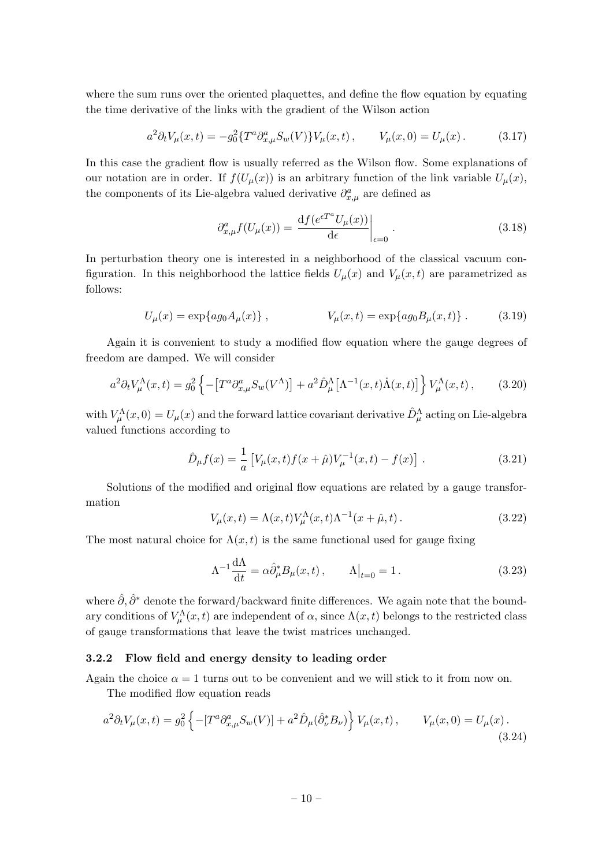where the sum runs over the oriented plaquettes, and define the flow equation by equating the time derivative of the links with the gradient of the Wilson action

$$
a^2 \partial_t V_\mu(x,t) = -g_0^2 \{ T^a \partial_{x,\mu}^a S_w(V) \} V_\mu(x,t) \,, \qquad V_\mu(x,0) = U_\mu(x) \,. \tag{3.17}
$$

In this case the gradient flow is usually referred as the Wilson flow. Some explanations of our notation are in order. If  $f(U_\mu(x))$  is an arbitrary function of the link variable  $U_\mu(x)$ , the components of its Lie-algebra valued derivative  $\partial_{x,\mu}^a$  are defined as

$$
\partial_{x,\mu}^a f(U_\mu(x)) = \left. \frac{\mathrm{d} f(e^{\epsilon T^a} U_\mu(x))}{\mathrm{d} \epsilon} \right|_{\epsilon=0} \,. \tag{3.18}
$$

In perturbation theory one is interested in a neighborhood of the classical vacuum configuration. In this neighborhood the lattice fields  $U_{\mu}(x)$  and  $V_{\mu}(x,t)$  are parametrized as follows:

$$
U_{\mu}(x) = \exp\{ag_0 A_{\mu}(x)\}, \qquad V_{\mu}(x,t) = \exp\{ag_0 B_{\mu}(x,t)\}.
$$
 (3.19)

Again it is convenient to study a modified flow equation where the gauge degrees of freedom are damped. We will consider

$$
a^2 \partial_t V_\mu^\Lambda(x,t) = g_0^2 \left\{ -\left[T^a \partial_{x,\mu}^a S_w(V^\Lambda)\right] + a^2 \hat{D}_\mu^\Lambda \left[\Lambda^{-1}(x,t)\dot{\Lambda}(x,t)\right] \right\} V_\mu^\Lambda(x,t) \,, \tag{3.20}
$$

with  $V_\mu^\Lambda(x,0) = U_\mu(x)$  and the forward lattice covariant derivative  $\hat{D}_\mu^\Lambda$  acting on Lie-algebra valued functions according to

$$
\hat{D}_{\mu}f(x) = \frac{1}{a} \left[ V_{\mu}(x, t) f(x + \hat{\mu}) V_{\mu}^{-1}(x, t) - f(x) \right]. \tag{3.21}
$$

Solutions of the modified and original flow equations are related by a gauge transformation

$$
V_{\mu}(x,t) = \Lambda(x,t)V_{\mu}^{\Lambda}(x,t)\Lambda^{-1}(x+\hat{\mu},t).
$$
 (3.22)

The most natural choice for  $\Lambda(x, t)$  is the same functional used for gauge fixing

$$
\Lambda^{-1} \frac{d\Lambda}{dt} = \alpha \hat{\partial}_{\mu}^* B_{\mu}(x, t), \qquad \Lambda \big|_{t=0} = 1. \tag{3.23}
$$

where  $\hat{\partial}, \hat{\partial}^*$  denote the forward/backward finite differences. We again note that the boundary conditions of  $V^{\Lambda}_{\mu}(x,t)$  are independent of  $\alpha$ , since  $\Lambda(x,t)$  belongs to the restricted class of gauge transformations that leave the twist matrices unchanged.

#### <span id="page-10-0"></span>3.2.2 Flow field and energy density to leading order

Again the choice  $\alpha = 1$  turns out to be convenient and we will stick to it from now on.

The modified flow equation reads

$$
a^{2}\partial_{t}V_{\mu}(x,t) = g_{0}^{2} \left\{ -[T^{a}\partial_{x,\mu}^{a}S_{w}(V)] + a^{2}\hat{D}_{\mu}(\hat{\partial}_{\nu}^{*}B_{\nu}) \right\} V_{\mu}(x,t), \qquad V_{\mu}(x,0) = U_{\mu}(x). \tag{3.24}
$$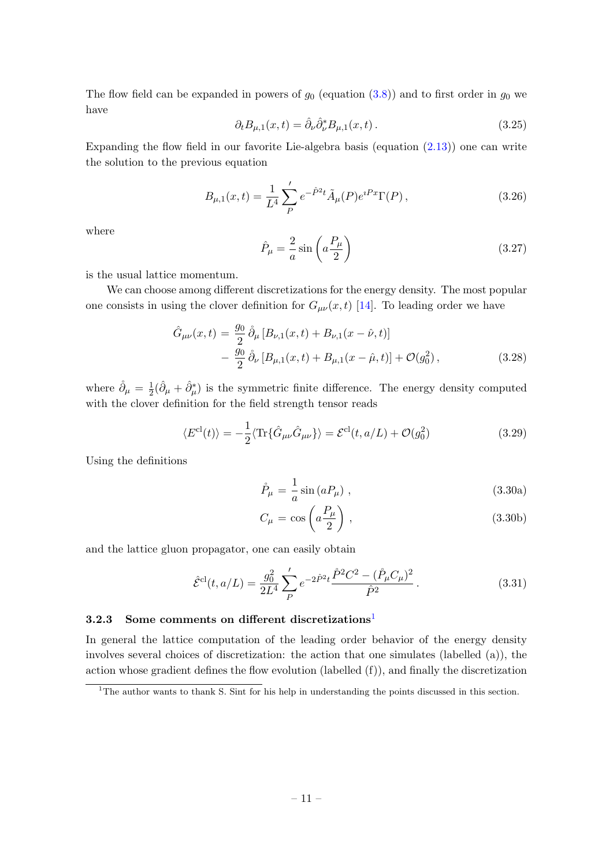The flow field can be expanded in powers of  $g_0$  (equation  $(3.8)$ ) and to first order in  $g_0$  we have

$$
\partial_t B_{\mu,1}(x,t) = \hat{\partial}_\nu \hat{\partial}_\nu^* B_{\mu,1}(x,t). \tag{3.25}
$$

Expanding the flow field in our favorite Lie-algebra basis (equation  $(2.13)$ ) one can write the solution to the previous equation

$$
B_{\mu,1}(x,t) = \frac{1}{L^4} \sum_{P}^{\prime} e^{-\hat{P}^2 t} \tilde{A}_{\mu}(P) e^{iPx} \Gamma(P) , \qquad (3.26)
$$

where

$$
\hat{P}_{\mu} = \frac{2}{a} \sin \left( a \frac{P_{\mu}}{2} \right) \tag{3.27}
$$

is the usual lattice momentum.

We can choose among different discretizations for the energy density. The most popular one consists in using the clover definition for  $G_{\mu\nu}(x,t)$  [\[14\]](#page-25-3). To leading order we have

$$
\hat{G}_{\mu\nu}(x,t) = \frac{g_0}{2} \,\mathring{\partial}_{\mu} \left[ B_{\nu,1}(x,t) + B_{\nu,1}(x-\hat{\nu},t) \right] \n- \frac{g_0}{2} \,\mathring{\partial}_{\nu} \left[ B_{\mu,1}(x,t) + B_{\mu,1}(x-\hat{\mu},t) \right] + \mathcal{O}(g_0^2) \,,
$$
\n(3.28)

where  $\mathring{\partial}_{\mu} = \frac{1}{2}$  $\frac{1}{2}(\hat{\partial}_{\mu} + \hat{\partial}_{\mu}^*)$  is the symmetric finite difference. The energy density computed with the clover definition for the field strength tensor reads

$$
\langle E^{\text{cl}}(t) \rangle = -\frac{1}{2} \langle \text{Tr} \{ \hat{G}_{\mu\nu} \hat{G}_{\mu\nu} \} \rangle = \mathcal{E}^{\text{cl}}(t, a/L) + \mathcal{O}(g_0^2)
$$
(3.29)

Using the definitions

$$
\mathring{P}_{\mu} = \frac{1}{a} \sin \left( a P_{\mu} \right) , \qquad (3.30a)
$$

$$
C_{\mu} = \cos\left(a\frac{P_{\mu}}{2}\right),\tag{3.30b}
$$

and the lattice gluon propagator, one can easily obtain

<span id="page-11-2"></span>
$$
\hat{\mathcal{E}}^{\text{cl}}(t, a/L) = \frac{g_0^2}{2L^4} \sum_P' e^{-2\hat{P}^2 t} \frac{\hat{P}^2 C^2 - (\mathring{P}_\mu C_\mu)^2}{\hat{P}^2}.
$$
\n(3.31)

#### <span id="page-11-0"></span>3.2.3 Some comments on different discretizations<sup>[1](#page-11-1)</sup>

In general the lattice computation of the leading order behavior of the energy density involves several choices of discretization: the action that one simulates (labelled (a)), the action whose gradient defines the flow evolution (labelled (f)), and finally the discretization

<span id="page-11-1"></span><sup>&</sup>lt;sup>1</sup>The author wants to thank S. Sint for his help in understanding the points discussed in this section.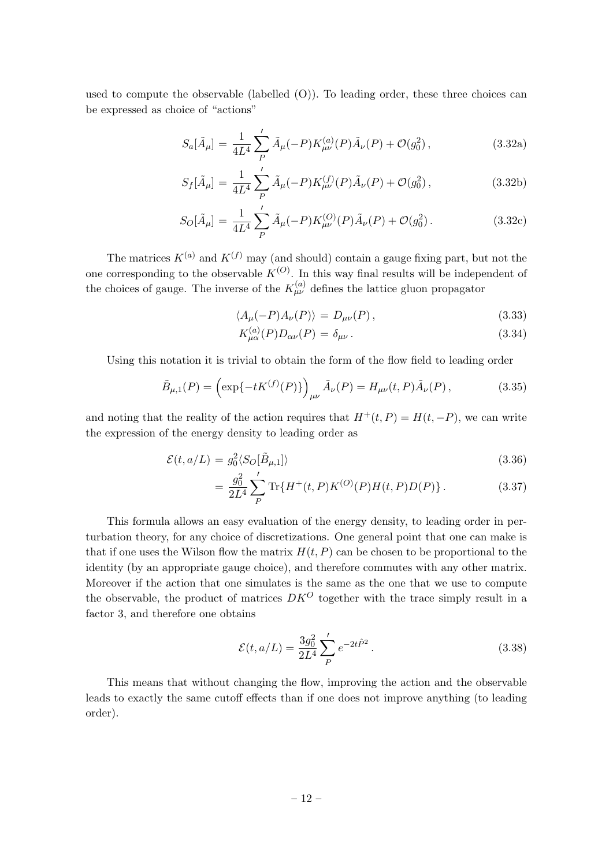used to compute the observable (labelled  $(O)$ ). To leading order, these three choices can be expressed as choice of "actions"

$$
S_a[\tilde{A}_\mu] = \frac{1}{4L^4} \sum_P' \tilde{A}_\mu(-P) K_{\mu\nu}^{(a)}(P) \tilde{A}_\nu(P) + \mathcal{O}(g_0^2) ,\qquad (3.32a)
$$

$$
S_f[\tilde{A}_\mu] = \frac{1}{4L^4} \sum_{P}^{\prime} \tilde{A}_\mu(-P) K_{\mu\nu}^{(f)}(P) \tilde{A}_\nu(P) + \mathcal{O}(g_0^2), \qquad (3.32b)
$$

$$
S_O[\tilde{A}_{\mu}] = \frac{1}{4L^4} \sum_{P}^{\prime} \tilde{A}_{\mu}(-P) K_{\mu\nu}^{(O)}(P) \tilde{A}_{\nu}(P) + \mathcal{O}(g_0^2).
$$
 (3.32c)

The matrices  $K^{(a)}$  and  $K^{(f)}$  may (and should) contain a gauge fixing part, but not the one corresponding to the observable  $K^{(O)}$ . In this way final results will be independent of the choices of gauge. The inverse of the  $K_{\mu\nu}^{(a)}$  defines the lattice gluon propagator

$$
\langle A_{\mu}(-P)A_{\nu}(P)\rangle = D_{\mu\nu}(P)\,,\tag{3.33}
$$

$$
K_{\mu\alpha}^{(a)}(P)D_{\alpha\nu}(P) = \delta_{\mu\nu}.
$$
\n(3.34)

Using this notation it is trivial to obtain the form of the flow field to leading order

$$
\tilde{B}_{\mu,1}(P) = \left(\exp\{-tK^{(f)}(P)\}\right)_{\mu\nu} \tilde{A}_{\nu}(P) = H_{\mu\nu}(t,P)\tilde{A}_{\nu}(P),\tag{3.35}
$$

and noting that the reality of the action requires that  $H^+(t, P) = H(t, -P)$ , we can write the expression of the energy density to leading order as

$$
\mathcal{E}(t, a/L) = g_0^2 \langle S_O[\tilde{B}_{\mu,1}] \rangle \tag{3.36}
$$

$$
= \frac{g_0^2}{2L^4} \sum_P' \text{Tr}\{H^+(t, P)K^{(O)}(P)H(t, P)D(P)\}.
$$
 (3.37)

This formula allows an easy evaluation of the energy density, to leading order in perturbation theory, for any choice of discretizations. One general point that one can make is that if one uses the Wilson flow the matrix  $H(t, P)$  can be chosen to be proportional to the identity (by an appropriate gauge choice), and therefore commutes with any other matrix. Moreover if the action that one simulates is the same as the one that we use to compute the observable, the product of matrices  $DK^O$  together with the trace simply result in a factor 3, and therefore one obtains

$$
\mathcal{E}(t, a/L) = \frac{3g_0^2}{2L^4} \sum_P' e^{-2t\hat{P}^2}.
$$
\n(3.38)

This means that without changing the flow, improving the action and the observable leads to exactly the same cutoff effects than if one does not improve anything (to leading order).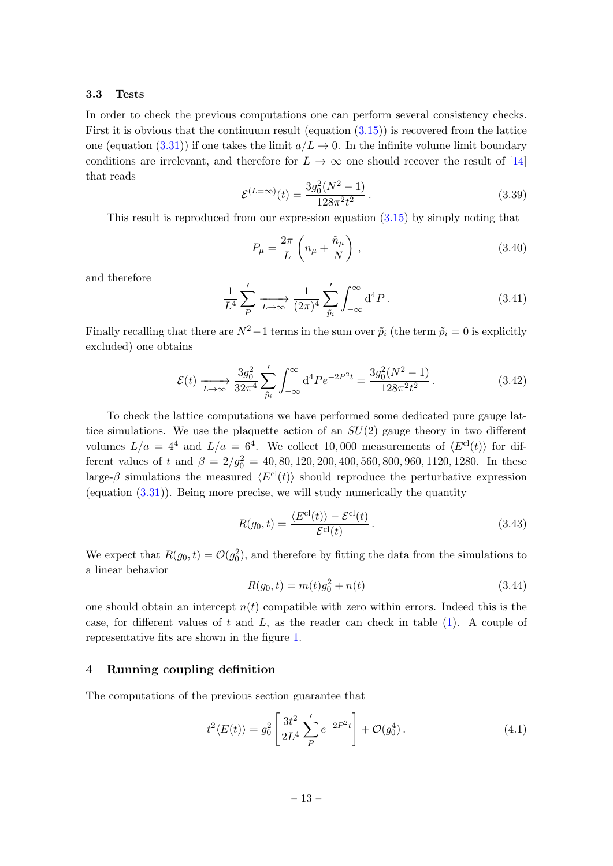#### <span id="page-13-0"></span>3.3 Tests

In order to check the previous computations one can perform several consistency checks. First it is obvious that the continuum result (equation  $(3.15)$ ) is recovered from the lattice one (equation [\(3.31\)](#page-11-2)) if one takes the limit  $a/L \to 0$ . In the infinite volume limit boundary conditions are irrelevant, and therefore for  $L \to \infty$  one should recover the result of [\[14\]](#page-25-3) that reads

$$
\mathcal{E}^{(L=\infty)}(t) = \frac{3g_0^2(N^2 - 1)}{128\pi^2 t^2}.
$$
\n(3.39)

This result is reproduced from our expression equation [\(3.15\)](#page-9-3) by simply noting that

$$
P_{\mu} = \frac{2\pi}{L} \left( n_{\mu} + \frac{\tilde{n}_{\mu}}{N} \right), \qquad (3.40)
$$

and therefore

$$
\frac{1}{L^4} \sum_{P}^{\prime} \xrightarrow[L \to \infty]{} \frac{1}{(2\pi)^4} \sum_{\tilde{p}_i}^{\prime} \int_{-\infty}^{\infty} d^4 P \,. \tag{3.41}
$$

Finally recalling that there are  $N^2-1$  terms in the sum over  $\tilde{p}_i$  (the term  $\tilde{p}_i = 0$  is explicitly excluded) one obtains

$$
\mathcal{E}(t) \xrightarrow[L \to \infty]{} \frac{3g_0^2}{32\pi^4} \sum_{\tilde{p}_i}^{\prime} \int_{-\infty}^{\infty} d^4 P e^{-2P^2 t} = \frac{3g_0^2(N^2 - 1)}{128\pi^2 t^2}.
$$
\n(3.42)

To check the lattice computations we have performed some dedicated pure gauge lattice simulations. We use the plaquette action of an  $SU(2)$  gauge theory in two different volumes  $L/a = 4^4$  and  $L/a = 6^4$ . We collect 10,000 measurements of  $\langle E^{cl}(t) \rangle$  for different values of t and  $\beta = 2/g_0^2 = 40, 80, 120, 200, 400, 560, 800, 960, 1120, 1280$ . In these large- $\beta$  simulations the measured  $\langle E^{\text{cl}}(t) \rangle$  should reproduce the perturbative expression (equation [\(3.31\)](#page-11-2)). Being more precise, we will study numerically the quantity

$$
R(g_0, t) = \frac{\langle E^{cl}(t) \rangle - \mathcal{E}^{cl}(t)}{\mathcal{E}^{cl}(t)}.
$$
\n(3.43)

We expect that  $R(g_0, t) = \mathcal{O}(g_0^2)$ , and therefore by fitting the data from the simulations to a linear behavior

$$
R(g_0, t) = m(t)g_0^2 + n(t)
$$
\n(3.44)

one should obtain an intercept  $n(t)$  compatible with zero within errors. Indeed this is the case, for different values of  $t$  and  $L$ , as the reader can check in table  $(1)$ . A couple of representative fits are shown in the figure [1.](#page-14-1)

#### <span id="page-13-1"></span>4 Running coupling definition

The computations of the previous section guarantee that

$$
t^{2}\langle E(t)\rangle = g_0^2 \left[\frac{3t^2}{2L^4} \sum_{P}^{\prime} e^{-2P^2 t}\right] + \mathcal{O}(g_0^4). \tag{4.1}
$$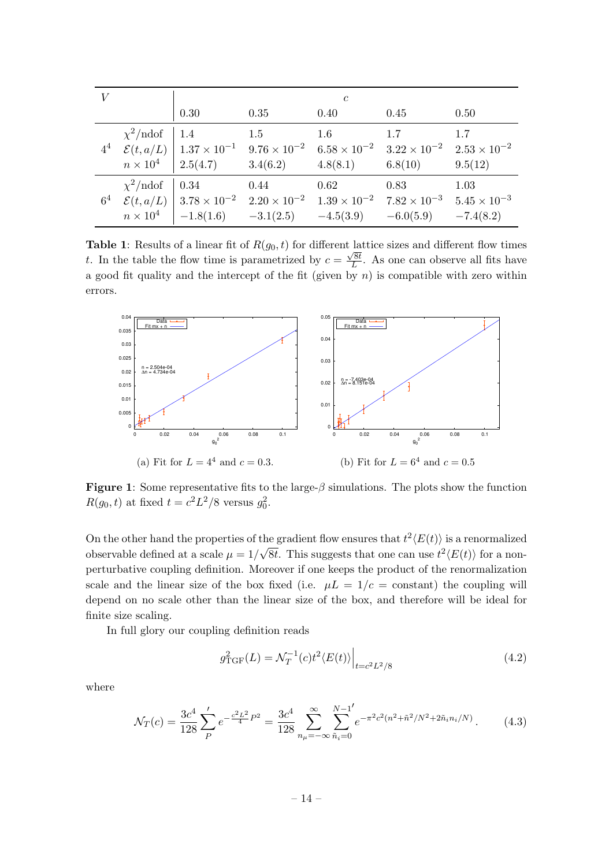<span id="page-14-0"></span>

|       |                                                                                                                                                                                                                                                                  |      | $\mathfrak{c}$ |      |      |
|-------|------------------------------------------------------------------------------------------------------------------------------------------------------------------------------------------------------------------------------------------------------------------|------|----------------|------|------|
|       | 0.30                                                                                                                                                                                                                                                             | 0.35 | $0.40\,$       | 0.45 | 0.50 |
|       | $\chi^2/\text{ndof}$   1.4 1.5<br>$4^4 \quad \mathcal{E}(t, a/L) \mid 1.37 \times 10^{-1} \quad 9.76 \times 10^{-2} \quad 6.58 \times 10^{-2} \quad 3.22 \times 10^{-2} \quad 2.53 \times 10^{-2}$<br>$n \times 10^4$ 2.5(4.7) 3.4(6.2) 4.8(8.1) 6.8(10) 9.5(12) |      | 1.6            | 1.7  | 1.7  |
| $6^4$ | $\chi^2/\text{ndof}$ 0.34 0.44<br>$\mathcal{E}(t, a/L)$ $\Big  3.78 \times 10^{-2}$ $2.20 \times 10^{-2}$ $1.39 \times 10^{-2}$ $7.82 \times 10^{-3}$ $5.45 \times 10^{-3}$<br>$n \times 10^4$   $-1.8(1.6)$ $-3.1(2.5)$ $-4.5(3.9)$ $-6.0(5.9)$ $-7.4(8.2)$     |      | 0.62           | 0.83 | 1.03 |

**Table 1:** Results of a linear fit of  $R(g_0, t)$  for different lattice sizes and different flow times t. In the table the flow time is parametrized by  $c = \frac{\sqrt{8t}}{L}$  $\frac{\sqrt{8t}}{L}$ . As one can observe all fits have a good fit quality and the intercept of the fit (given by n) is compatible with zero within errors.

<span id="page-14-1"></span>

**Figure 1:** Some representative fits to the large- $\beta$  simulations. The plots show the function  $R(g_0, t)$  at fixed  $t = c^2 L^2 / 8$  versus  $g_0^2$ .

On the other hand the properties of the gradient flow ensures that  $t^2 \langle E(t) \rangle$  is a renormalized observable defined at a scale  $\mu = 1/\sqrt{8t}$ . This suggests that one can use  $t^2 \langle E(t) \rangle$  for a nonperturbative coupling definition. Moreover if one keeps the product of the renormalization scale and the linear size of the box fixed (i.e.  $\mu L = 1/c = \text{constant}$ ) the coupling will depend on no scale other than the linear size of the box, and therefore will be ideal for finite size scaling.

In full glory our coupling definition reads

$$
g_{\text{TGF}}^2(L) = \mathcal{N}_T^{-1}(c)t^2 \langle E(t) \rangle \Big|_{t = c^2 L^2/8} \tag{4.2}
$$

where

$$
\mathcal{N}_T(c) = \frac{3c^4}{128} \sum_P' e^{-\frac{c^2 L^2}{4} P^2} = \frac{3c^4}{128} \sum_{n_\mu = -\infty}^{\infty} \sum_{\tilde{n}_i = 0}^{N-1'} e^{-\pi^2 c^2 (n^2 + \tilde{n}^2 / N^2 + 2\tilde{n}_i n_i / N)}.
$$
 (4.3)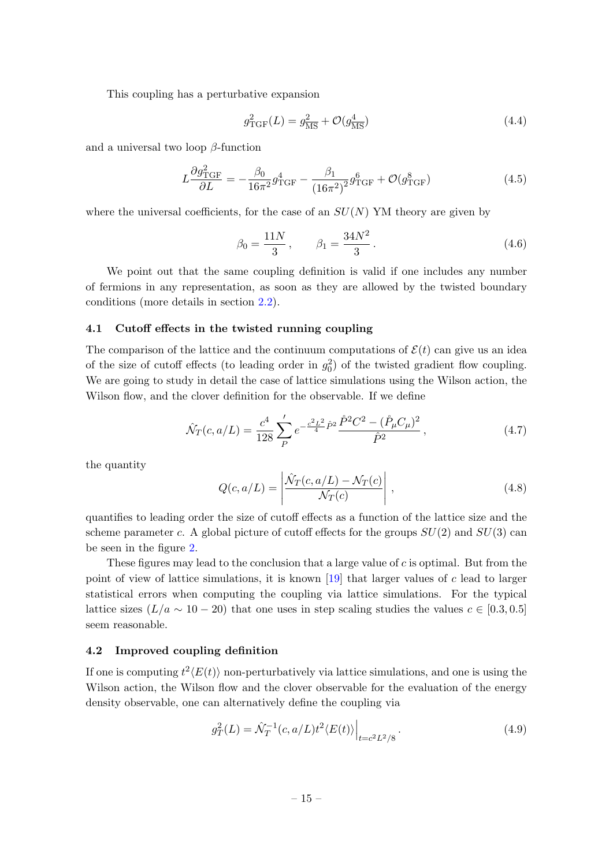This coupling has a perturbative expansion

$$
g_{\rm TGF}^2(L) = g_{\overline{\rm MS}}^2 + \mathcal{O}(g_{\overline{\rm MS}}^4)
$$
\n(4.4)

and a universal two loop  $\beta$ -function

$$
L\frac{\partial g_{\text{TGF}}^2}{\partial L} = -\frac{\beta_0}{16\pi^2} g_{\text{TGF}}^4 - \frac{\beta_1}{(16\pi^2)^2} g_{\text{TGF}}^6 + \mathcal{O}(g_{\text{TGF}}^8)
$$
(4.5)

where the universal coefficients, for the case of an  $SU(N)$  YM theory are given by

$$
\beta_0 = \frac{11N}{3}, \qquad \beta_1 = \frac{34N^2}{3}.
$$
\n(4.6)

We point out that the same coupling definition is valid if one includes any number of fermions in any representation, as soon as they are allowed by the twisted boundary conditions (more details in section [2.2\)](#page-6-0).

#### <span id="page-15-0"></span>4.1 Cutoff effects in the twisted running coupling

The comparison of the lattice and the continuum computations of  $\mathcal{E}(t)$  can give us an idea of the size of cutoff effects (to leading order in  $g_0^2$ ) of the twisted gradient flow coupling. We are going to study in detail the case of lattice simulations using the Wilson action, the Wilson flow, and the clover definition for the observable. If we define

$$
\hat{\mathcal{N}}_T(c, a/L) = \frac{c^4}{128} \sum_P' e^{-\frac{c^2 L^2}{4} \hat{P}^2} \frac{\hat{P}^2 C^2 - (\mathring{P}_\mu C_\mu)^2}{\hat{P}^2},\tag{4.7}
$$

the quantity

$$
Q(c, a/L) = \left| \frac{\hat{N}_T(c, a/L) - \mathcal{N}_T(c)}{\mathcal{N}_T(c)} \right|, \qquad (4.8)
$$

quantifies to leading order the size of cutoff effects as a function of the lattice size and the scheme parameter c. A global picture of cutoff effects for the groups  $SU(2)$  and  $SU(3)$  can be seen in the figure [2.](#page-16-1)

These figures may lead to the conclusion that a large value of  $c$  is optimal. But from the point of view of lattice simulations, it is known  $[19]$  that larger values of c lead to larger statistical errors when computing the coupling via lattice simulations. For the typical lattice sizes  $(L/a \sim 10-20)$  that one uses in step scaling studies the values  $c \in [0.3, 0.5]$ seem reasonable.

#### <span id="page-15-1"></span>4.2 Improved coupling definition

If one is computing  $t^2 \langle E(t) \rangle$  non-perturbatively via lattice simulations, and one is using the Wilson action, the Wilson flow and the clover observable for the evaluation of the energy density observable, one can alternatively define the coupling via

<span id="page-15-2"></span>
$$
g_T^2(L) = \hat{\mathcal{N}}_T^{-1}(c, a/L)t^2 \langle E(t) \rangle \Big|_{t=c^2L^2/8}.
$$
\n(4.9)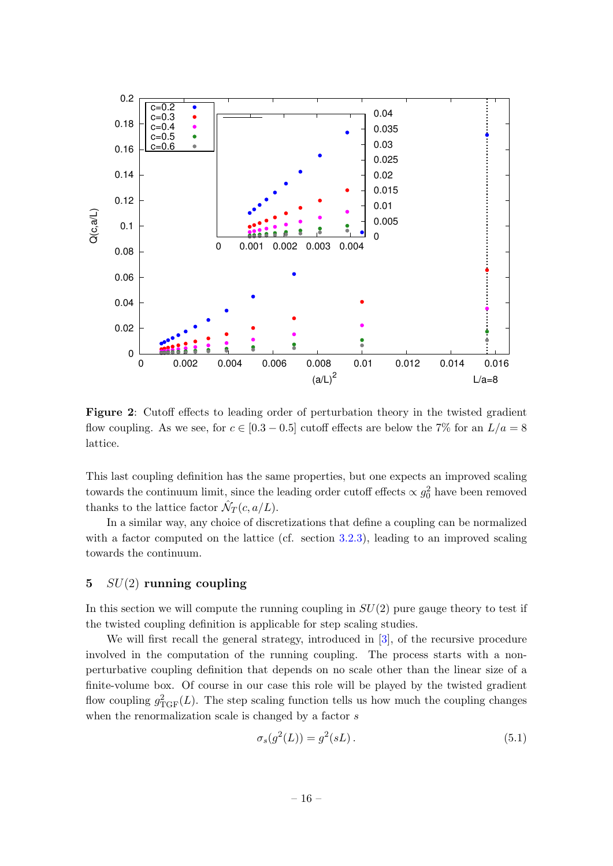<span id="page-16-1"></span>

Figure 2: Cutoff effects to leading order of perturbation theory in the twisted gradient flow coupling. As we see, for  $c \in [0.3 - 0.5]$  cutoff effects are below the 7% for an  $L/a = 8$ lattice.

This last coupling definition has the same properties, but one expects an improved scaling towards the continuum limit, since the leading order cutoff effects  $\propto g_0^2$  have been removed thanks to the lattice factor  $\hat{\mathcal{N}}_T(c, a/L)$ .

In a similar way, any choice of discretizations that define a coupling can be normalized with a factor computed on the lattice (cf. section [3.2.3\)](#page-11-0), leading to an improved scaling towards the continuum.

# <span id="page-16-0"></span>5  $SU(2)$  running coupling

In this section we will compute the running coupling in  $SU(2)$  pure gauge theory to test if the twisted coupling definition is applicable for step scaling studies.

We will first recall the general strategy, introduced in [\[3\]](#page-23-3), of the recursive procedure involved in the computation of the running coupling. The process starts with a nonperturbative coupling definition that depends on no scale other than the linear size of a finite-volume box. Of course in our case this role will be played by the twisted gradient flow coupling  $g_{\text{TGF}}^2(L)$ . The step scaling function tells us how much the coupling changes when the renormalization scale is changed by a factor s

$$
\sigma_s(g^2(L)) = g^2(sL). \tag{5.1}
$$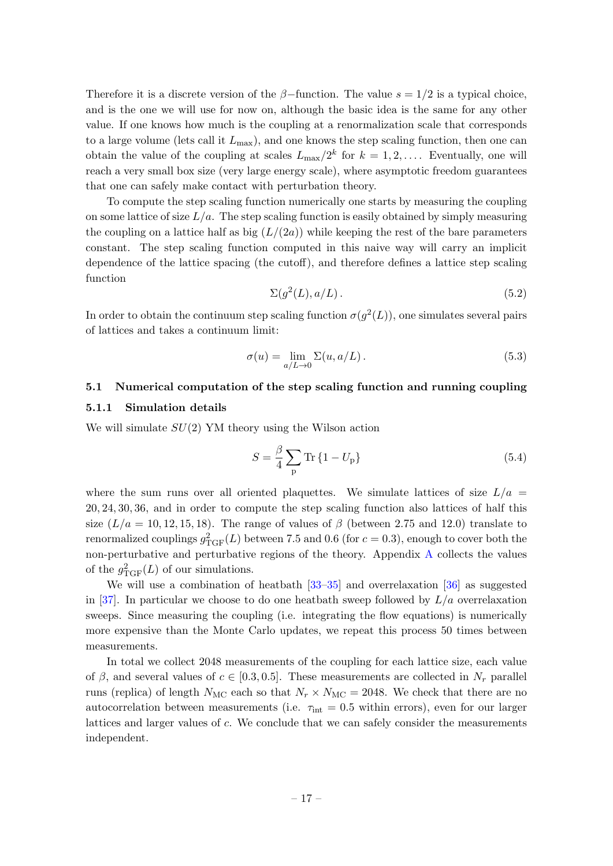Therefore it is a discrete version of the  $\beta$ -function. The value  $s = 1/2$  is a typical choice, and is the one we will use for now on, although the basic idea is the same for any other value. If one knows how much is the coupling at a renormalization scale that corresponds to a large volume (lets call it  $L_{\text{max}}$ ), and one knows the step scaling function, then one can obtain the value of the coupling at scales  $L_{\text{max}}/2^k$  for  $k = 1, 2, \ldots$ . Eventually, one will reach a very small box size (very large energy scale), where asymptotic freedom guarantees that one can safely make contact with perturbation theory.

To compute the step scaling function numerically one starts by measuring the coupling on some lattice of size  $L/a$ . The step scaling function is easily obtained by simply measuring the coupling on a lattice half as big  $(L/(2a))$  while keeping the rest of the bare parameters constant. The step scaling function computed in this naive way will carry an implicit dependence of the lattice spacing (the cutoff), and therefore defines a lattice step scaling function

$$
\Sigma(g^2(L), a/L). \tag{5.2}
$$

In order to obtain the continuum step scaling function  $\sigma(g^2(L))$ , one simulates several pairs of lattices and takes a continuum limit:

$$
\sigma(u) = \lim_{a/L \to 0} \Sigma(u, a/L). \tag{5.3}
$$

# <span id="page-17-0"></span>5.1 Numerical computation of the step scaling function and running coupling

#### <span id="page-17-1"></span>5.1.1 Simulation details

We will simulate  $SU(2)$  YM theory using the Wilson action

$$
S = \frac{\beta}{4} \sum_{\mathbf{p}} \text{Tr} \left\{ 1 - U_{\mathbf{p}} \right\} \tag{5.4}
$$

where the sum runs over all oriented plaquettes. We simulate lattices of size  $L/a =$ 20, 24, 30, 36, and in order to compute the step scaling function also lattices of half this size  $(L/a = 10, 12, 15, 18)$ . The range of values of  $\beta$  (between 2.75 and 12.0) translate to renormalized couplings  $g_{\text{TGF}}^2(L)$  between 7.5 and 0.6 (for  $c = 0.3$ ), enough to cover both the non-perturbative and perturbative regions of the theory. Appendix [A](#page-23-0) collects the values of the  $g_{\text{TGF}}^2(L)$  of our simulations.

We will use a combination of heatbath  $[33-35]$  $[33-35]$  and overrelaxation  $[36]$  as suggested in [\[37\]](#page-26-4). In particular we choose to do one heatbath sweep followed by  $L/a$  overrelaxation sweeps. Since measuring the coupling (i.e. integrating the flow equations) is numerically more expensive than the Monte Carlo updates, we repeat this process 50 times between measurements.

In total we collect 2048 measurements of the coupling for each lattice size, each value of β, and several values of  $c \in [0.3, 0.5]$ . These measurements are collected in  $N_r$  parallel runs (replica) of length  $N_{MC}$  each so that  $N_r \times N_{MC} = 2048$ . We check that there are no autocorrelation between measurements (i.e.  $\tau_{\text{int}} = 0.5$  within errors), even for our larger lattices and larger values of c. We conclude that we can safely consider the measurements independent.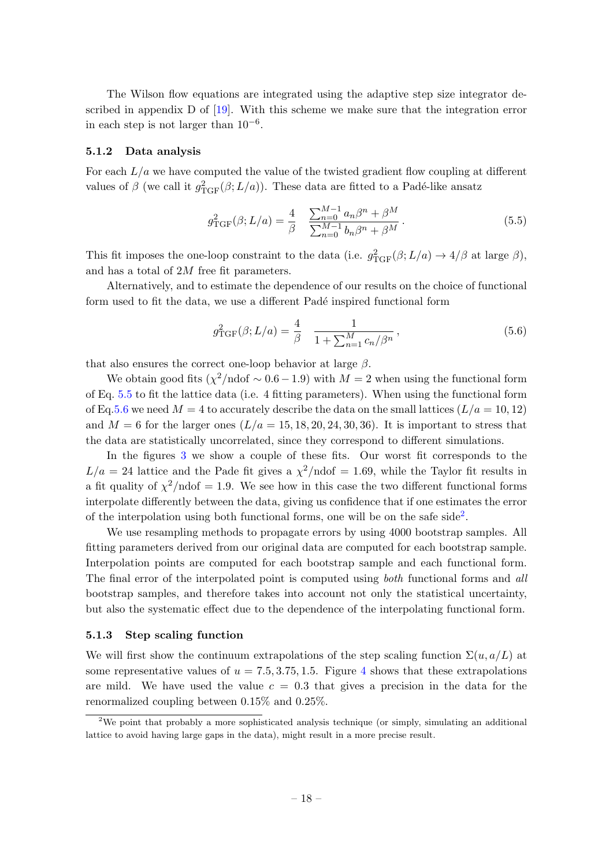The Wilson flow equations are integrated using the adaptive step size integrator described in appendix D of [\[19\]](#page-25-8). With this scheme we make sure that the integration error in each step is not larger than  $10^{-6}$ .

#### <span id="page-18-0"></span>5.1.2 Data analysis

For each  $L/a$  we have computed the value of the twisted gradient flow coupling at different values of  $\beta$  (we call it  $g_{\text{TGF}}^2(\beta; L/a)$ ). These data are fitted to a Padé-like ansatz

<span id="page-18-2"></span>
$$
g_{\text{TGF}}^2(\beta; L/a) = \frac{4}{\beta} \quad \frac{\sum_{n=0}^{M-1} a_n \beta^n + \beta^M}{\sum_{n=0}^{M-1} b_n \beta^n + \beta^M}.
$$
 (5.5)

This fit imposes the one-loop constraint to the data (i.e.  $g_{\text{TGF}}^2(\beta; L/a) \rightarrow 4/\beta$  at large  $\beta$ ), and has a total of 2M free fit parameters.

Alternatively, and to estimate the dependence of our results on the choice of functional form used to fit the data, we use a different Padé inspired functional form

<span id="page-18-3"></span>
$$
g_{\text{TGF}}^2(\beta; L/a) = \frac{4}{\beta} \quad \frac{1}{1 + \sum_{n=1}^M c_n / \beta^n},\tag{5.6}
$$

that also ensures the correct one-loop behavior at large  $\beta$ .

We obtain good fits  $(\chi^2/\text{ndof} \sim 0.6 - 1.9)$  with  $M = 2$  when using the functional form of Eq. [5.5](#page-18-2) to fit the lattice data (i.e. 4 fitting parameters). When using the functional form of Eq[.5.6](#page-18-3) we need  $M = 4$  to accurately describe the data on the small lattices  $(L/a = 10, 12)$ and  $M = 6$  for the larger ones  $(L/a = 15, 18, 20, 24, 30, 36)$ . It is important to stress that the data are statistically uncorrelated, since they correspond to different simulations.

In the figures [3](#page-19-1) we show a couple of these fits. Our worst fit corresponds to the  $L/a = 24$  lattice and the Pade fit gives a  $\chi^2/\text{ndof} = 1.69$ , while the Taylor fit results in a fit quality of  $\chi^2/\text{ndof} = 1.9$ . We see how in this case the two different functional forms interpolate differently between the data, giving us confidence that if one estimates the error of the interpolation using both functional forms, one will be on the safe side<sup>[2](#page-18-4)</sup>.

We use resampling methods to propagate errors by using 4000 bootstrap samples. All fitting parameters derived from our original data are computed for each bootstrap sample. Interpolation points are computed for each bootstrap sample and each functional form. The final error of the interpolated point is computed using *both* functional forms and all bootstrap samples, and therefore takes into account not only the statistical uncertainty, but also the systematic effect due to the dependence of the interpolating functional form.

#### <span id="page-18-1"></span>5.1.3 Step scaling function

We will first show the continuum extrapolations of the step scaling function  $\Sigma(u, a/L)$  at some representative values of  $u = 7.5, 3.75, 1.5$ . Figure [4](#page-20-0) shows that these extrapolations are mild. We have used the value  $c = 0.3$  that gives a precision in the data for the renormalized coupling between 0.15% and 0.25%.

<span id="page-18-4"></span><sup>&</sup>lt;sup>2</sup>We point that probably a more sophisticated analysis technique (or simply, simulating an additional lattice to avoid having large gaps in the data), might result in a more precise result.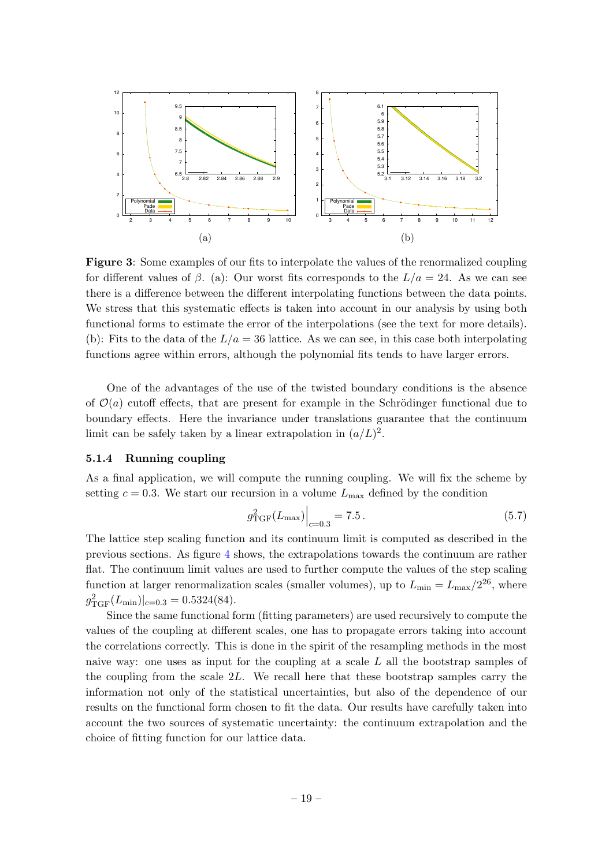<span id="page-19-1"></span>

Figure 3: Some examples of our fits to interpolate the values of the renormalized coupling for different values of  $\beta$ . (a): Our worst fits corresponds to the  $L/a = 24$ . As we can see there is a difference between the different interpolating functions between the data points. We stress that this systematic effects is taken into account in our analysis by using both functional forms to estimate the error of the interpolations (see the text for more details). (b): Fits to the data of the  $L/a = 36$  lattice. As we can see, in this case both interpolating functions agree within errors, although the polynomial fits tends to have larger errors.

One of the advantages of the use of the twisted boundary conditions is the absence of  $\mathcal{O}(a)$  cutoff effects, that are present for example in the Schrödinger functional due to boundary effects. Here the invariance under translations guarantee that the continuum limit can be safely taken by a linear extrapolation in  $(a/L)^2$ .

#### <span id="page-19-0"></span>5.1.4 Running coupling

As a final application, we will compute the running coupling. We will fix the scheme by setting  $c = 0.3$ . We start our recursion in a volume  $L_{\text{max}}$  defined by the condition

$$
g_{\text{TGF}}^2(L_{\text{max}})\Big|_{c=0.3} = 7.5\,. \tag{5.7}
$$

The lattice step scaling function and its continuum limit is computed as described in the previous sections. As figure [4](#page-20-0) shows, the extrapolations towards the continuum are rather flat. The continuum limit values are used to further compute the values of the step scaling function at larger renormalization scales (smaller volumes), up to  $L_{\text{min}} = L_{\text{max}}/2^{26}$ , where  $g_{\text{TGF}}^2(L_{\text{min}})|_{c=0.3} = 0.5324(84).$ 

Since the same functional form (fitting parameters) are used recursively to compute the values of the coupling at different scales, one has to propagate errors taking into account the correlations correctly. This is done in the spirit of the resampling methods in the most naive way: one uses as input for the coupling at a scale L all the bootstrap samples of the coupling from the scale 2L. We recall here that these bootstrap samples carry the information not only of the statistical uncertainties, but also of the dependence of our results on the functional form chosen to fit the data. Our results have carefully taken into account the two sources of systematic uncertainty: the continuum extrapolation and the choice of fitting function for our lattice data.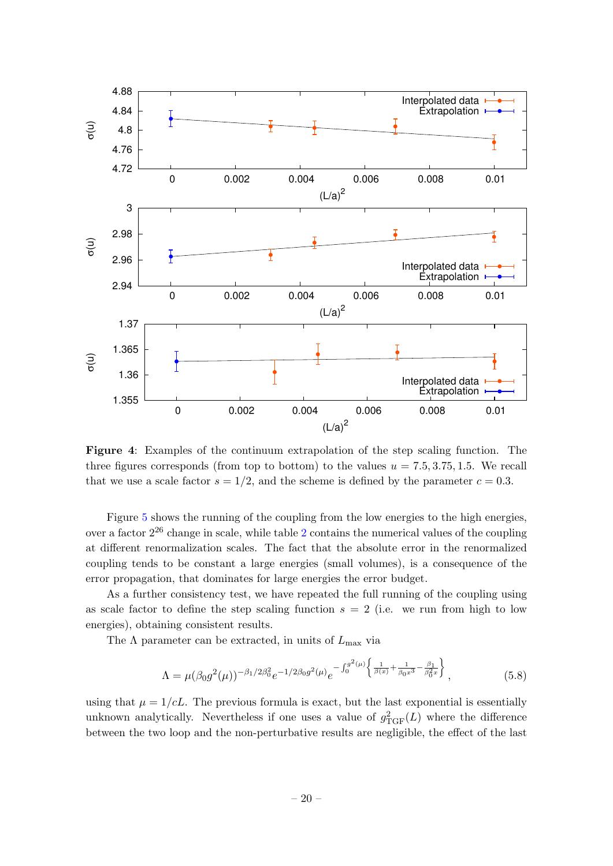<span id="page-20-0"></span>

Figure 4: Examples of the continuum extrapolation of the step scaling function. The three figures corresponds (from top to bottom) to the values  $u = 7.5, 3.75, 1.5$ . We recall that we use a scale factor  $s = 1/2$ , and the scheme is defined by the parameter  $c = 0.3$ .

Figure [5](#page-21-0) shows the running of the coupling from the low energies to the high energies, over a factor  $2^{26}$  $2^{26}$  change in scale, while table 2 contains the numerical values of the coupling at different renormalization scales. The fact that the absolute error in the renormalized coupling tends to be constant a large energies (small volumes), is a consequence of the error propagation, that dominates for large energies the error budget.

As a further consistency test, we have repeated the full running of the coupling using as scale factor to define the step scaling function  $s = 2$  (i.e. we run from high to low energies), obtaining consistent results.

The  $\Lambda$  parameter can be extracted, in units of  $L_{\text{max}}$  via

$$
\Lambda = \mu(\beta_0 g^2(\mu))^{-\beta_1/2\beta_0^2} e^{-1/2\beta_0 g^2(\mu)} e^{-\int_0^{g^2(\mu)} \left\{ \frac{1}{\beta(x)} + \frac{1}{\beta_0 x^3} - \frac{\beta_1}{\beta_0^2 x} \right\}},
$$
(5.8)

using that  $\mu = 1/cL$ . The previous formula is exact, but the last exponential is essentially unknown analytically. Nevertheless if one uses a value of  $g_{TGF}^2(L)$  where the difference between the two loop and the non-perturbative results are negligible, the effect of the last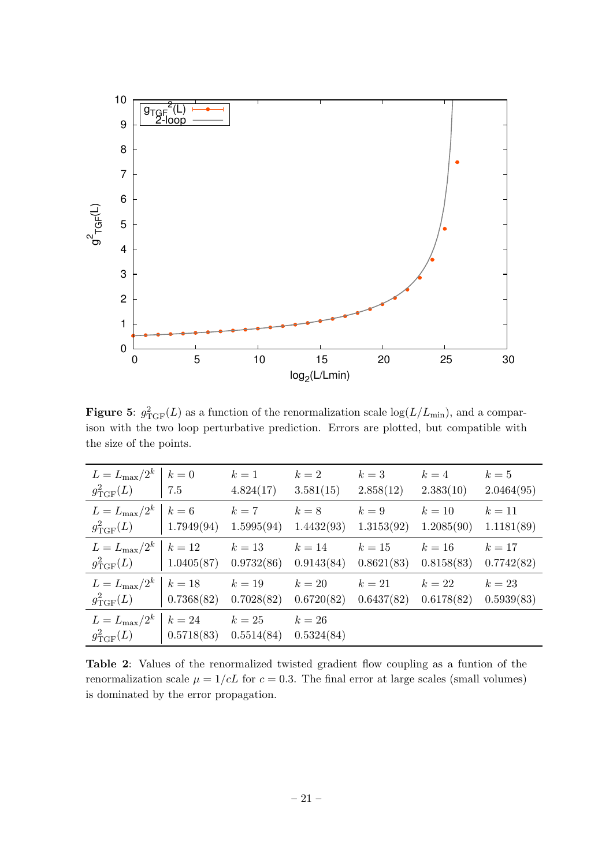<span id="page-21-0"></span>

**Figure 5:**  $g_{\text{TGF}}^2(L)$  as a function of the renormalization scale  $\log(L/L_{\text{min}})$ , and a comparison with the two loop perturbative prediction. Errors are plotted, but compatible with the size of the points.

<span id="page-21-1"></span>

| $L = L_{\text{max}}/2^k   k = 0$<br>$g_{\rm TGF}^2(L)$   7.5                           |                   | $k=1$<br>4.824(17) | $k=2$<br>3.581(15)   | $k=3$<br>2.858(12)   | $k=4$<br>2.383(10)              | $k=5$<br>2.0464(95)  |
|----------------------------------------------------------------------------------------|-------------------|--------------------|----------------------|----------------------|---------------------------------|----------------------|
| $L = L_{\text{max}}/2^k   k = 6$ $k = 7$ $k = 8$<br>$g_{\text{TGF}}^2(L)$   1.7949(94) |                   | 1.5995(94)         | 1.4432(93)           | $k=9$<br>1.3153(92)  | $k=10$<br>1.2085(90)            | $k=11$<br>1.1181(89) |
| $L = L_{\text{max}}/2^k \mid k = 12$ $k = 13$<br>$g_{\rm TGF}^2(L)$   1.0405(87)       |                   | 0.9732(86)         | $k=14$<br>0.9143(84) | $k=15$<br>0.8621(83) | $k=16$<br>0.8158(83)            | $k=17$<br>0.7742(82) |
| $L = L_{\text{max}}/2^k \mid k = 18$ $k = 19$<br>$g_{\rm TGF}^2(L)$   0.7368(82)       |                   | 0.7028(82)         | $k=20$<br>0.6720(82) | $k=21$<br>0.6437(82) | $k = 22$ $k = 23$<br>0.6178(82) | 0.5939(83)           |
| $L = L_{\text{max}}/2^k \mid k = 24$ $k = 25$<br>$g_{\mathrm{TGF}}^{2}(L)$             | $\mid 0.5718(83)$ | 0.5514(84)         | $k=26$<br>0.5324(84) |                      |                                 |                      |

Table 2: Values of the renormalized twisted gradient flow coupling as a funtion of the renormalization scale  $\mu = 1/cL$  for  $c = 0.3$ . The final error at large scales (small volumes) is dominated by the error propagation.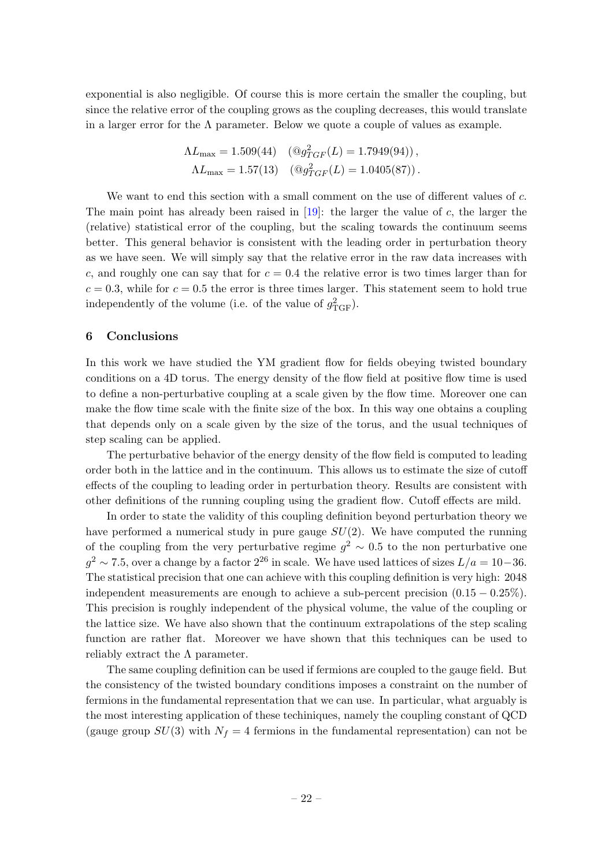exponential is also negligible. Of course this is more certain the smaller the coupling, but since the relative error of the coupling grows as the coupling decreases, this would translate in a larger error for the  $\Lambda$  parameter. Below we quote a couple of values as example.

$$
\Lambda L_{\text{max}} = 1.509(44) \quad (\textcircled{g}_{TGF}^2(L) = 1.7949(94)),
$$
  

$$
\Lambda L_{\text{max}} = 1.57(13) \quad (\textcircled{g}_{TGF}^2(L) = 1.0405(87)).
$$

We want to end this section with a small comment on the use of different values of c. The main point has already been raised in  $[19]$ : the larger the value of c, the larger the (relative) statistical error of the coupling, but the scaling towards the continuum seems better. This general behavior is consistent with the leading order in perturbation theory as we have seen. We will simply say that the relative error in the raw data increases with c, and roughly one can say that for  $c = 0.4$  the relative error is two times larger than for  $c = 0.3$ , while for  $c = 0.5$  the error is three times larger. This statement seem to hold true independently of the volume (i.e. of the value of  $g_{TGF}^2$ ).

#### <span id="page-22-0"></span>6 Conclusions

In this work we have studied the YM gradient flow for fields obeying twisted boundary conditions on a 4D torus. The energy density of the flow field at positive flow time is used to define a non-perturbative coupling at a scale given by the flow time. Moreover one can make the flow time scale with the finite size of the box. In this way one obtains a coupling that depends only on a scale given by the size of the torus, and the usual techniques of step scaling can be applied.

The perturbative behavior of the energy density of the flow field is computed to leading order both in the lattice and in the continuum. This allows us to estimate the size of cutoff effects of the coupling to leading order in perturbation theory. Results are consistent with other definitions of the running coupling using the gradient flow. Cutoff effects are mild.

In order to state the validity of this coupling definition beyond perturbation theory we have performed a numerical study in pure gauge  $SU(2)$ . We have computed the running of the coupling from the very perturbative regime  $g^2 \sim 0.5$  to the non perturbative one  $g^2 \sim 7.5$ , over a change by a factor  $2^{26}$  in scale. We have used lattices of sizes  $L/a = 10-36$ . The statistical precision that one can achieve with this coupling definition is very high: 2048 independent measurements are enough to achieve a sub-percent precision  $(0.15 - 0.25\%)$ . This precision is roughly independent of the physical volume, the value of the coupling or the lattice size. We have also shown that the continuum extrapolations of the step scaling function are rather flat. Moreover we have shown that this techniques can be used to reliably extract the  $\Lambda$  parameter.

The same coupling definition can be used if fermions are coupled to the gauge field. But the consistency of the twisted boundary conditions imposes a constraint on the number of fermions in the fundamental representation that we can use. In particular, what arguably is the most interesting application of these techiniques, namely the coupling constant of QCD (gauge group  $SU(3)$  with  $N_f = 4$  fermions in the fundamental representation) can not be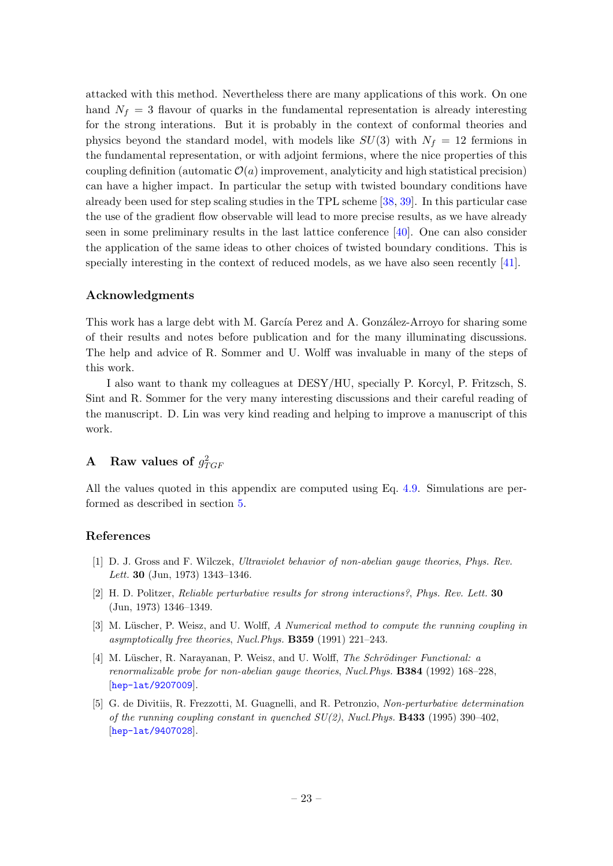attacked with this method. Nevertheless there are many applications of this work. On one hand  $N_f = 3$  flavour of quarks in the fundamental representation is already interesting for the strong interations. But it is probably in the context of conformal theories and physics beyond the standard model, with models like  $SU(3)$  with  $N_f = 12$  fermions in the fundamental representation, or with adjoint fermions, where the nice properties of this coupling definition (automatic  $\mathcal{O}(a)$  improvement, analyticity and high statistical precision) can have a higher impact. In particular the setup with twisted boundary conditions have already been used for step scaling studies in the TPL scheme [\[38,](#page-26-5) [39\]](#page-26-6). In this particular case the use of the gradient flow observable will lead to more precise results, as we have already seen in some preliminary results in the last lattice conference [\[40\]](#page-26-7). One can also consider the application of the same ideas to other choices of twisted boundary conditions. This is specially interesting in the context of reduced models, as we have also seen recently [\[41\]](#page-26-8).

### Acknowledgments

This work has a large debt with M. García Perez and A. González-Arroyo for sharing some of their results and notes before publication and for the many illuminating discussions. The help and advice of R. Sommer and U. Wolff was invaluable in many of the steps of this work.

I also want to thank my colleagues at DESY/HU, specially P. Korcyl, P. Fritzsch, S. Sint and R. Sommer for the very many interesting discussions and their careful reading of the manuscript. D. Lin was very kind reading and helping to improve a manuscript of this work.

# <span id="page-23-0"></span>A Raw values of  $g_{TGF}^2$

All the values quoted in this appendix are computed using Eq. [4.9.](#page-15-2) Simulations are performed as described in section [5.](#page-16-0)

#### References

- <span id="page-23-1"></span>[1] D. J. Gross and F. Wilczek, Ultraviolet behavior of non-abelian gauge theories, Phys. Rev. Lett. 30 (Jun, 1973) 1343–1346.
- <span id="page-23-2"></span>[2] H. D. Politzer, Reliable perturbative results for strong interactions?, Phys. Rev. Lett. 30 (Jun, 1973) 1346–1349.
- <span id="page-23-3"></span>[3] M. Lüscher, P. Weisz, and U. Wolff, A Numerical method to compute the running coupling in asymptotically free theories, Nucl.Phys. B359 (1991) 221–243.
- <span id="page-23-5"></span>[4] M. Lüscher, R. Narayanan, P. Weisz, and U. Wolff, The Schrödinger Functional: a renormalizable probe for non-abelian gauge theories, Nucl.Phys. B384 (1992) 168–228, [[hep-lat/9207009](http://xxx.lanl.gov/abs/hep-lat/9207009)].
- <span id="page-23-4"></span>[5] G. de Divitiis, R. Frezzotti, M. Guagnelli, and R. Petronzio, Non-perturbative determination of the running coupling constant in quenched  $SU(2)$ , Nucl. Phys. **B433** (1995) 390–402, [[hep-lat/9407028](http://xxx.lanl.gov/abs/hep-lat/9407028)].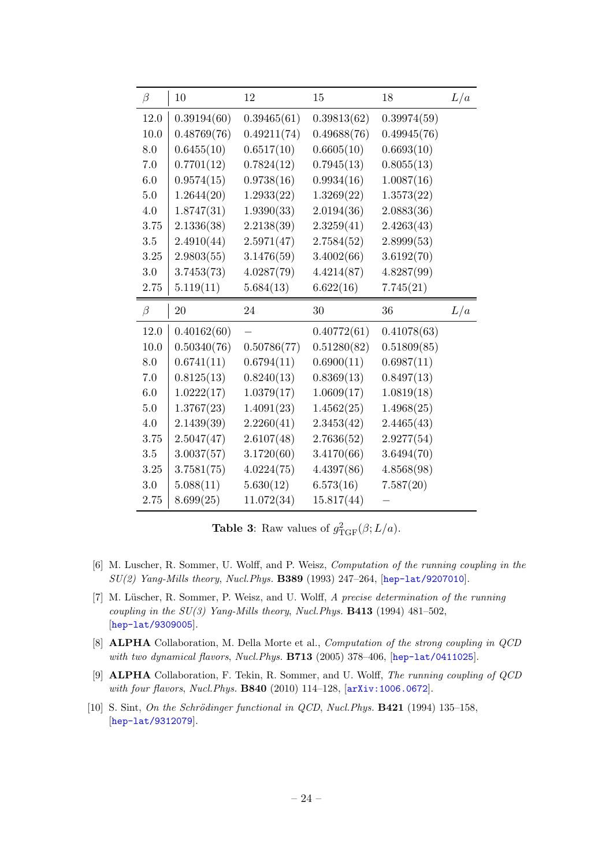| $\beta$ | 10          | 12          | 15          | 18          | L/a |
|---------|-------------|-------------|-------------|-------------|-----|
| 12.0    | 0.39194(60) | 0.39465(61) | 0.39813(62) | 0.39974(59) |     |
| 10.0    | 0.48769(76) | 0.49211(74) | 0.49688(76) | 0.49945(76) |     |
| 8.0     | 0.6455(10)  | 0.6517(10)  | 0.6605(10)  | 0.6693(10)  |     |
| $7.0\,$ | 0.7701(12)  | 0.7824(12)  | 0.7945(13)  | 0.8055(13)  |     |
| 6.0     | 0.9574(15)  | 0.9738(16)  | 0.9934(16)  | 1.0087(16)  |     |
| 5.0     | 1.2644(20)  | 1.2933(22)  | 1.3269(22)  | 1.3573(22)  |     |
| 4.0     | 1.8747(31)  | 1.9390(33)  | 2.0194(36)  | 2.0883(36)  |     |
| 3.75    | 2.1336(38)  | 2.2138(39)  | 2.3259(41)  | 2.4263(43)  |     |
| $3.5\,$ | 2.4910(44)  | 2.5971(47)  | 2.7584(52)  | 2.8999(53)  |     |
| 3.25    | 2.9803(55)  | 3.1476(59)  | 3.4002(66)  | 3.6192(70)  |     |
| $3.0\,$ | 3.7453(73)  | 4.0287(79)  | 4.4214(87)  | 4.8287(99)  |     |
| 2.75    | 5.119(11)   | 5.684(13)   | 6.622(16)   | 7.745(21)   |     |
|         |             |             |             |             |     |
| $\beta$ | 20          | 24          | 30          | 36          | L/a |
| 12.0    | 0.40162(60) |             | 0.40772(61) | 0.41078(63) |     |
| 10.0    | 0.50340(76) | 0.50786(77) | 0.51280(82) | 0.51809(85) |     |
| 8.0     | 0.6741(11)  | 0.6794(11)  | 0.6900(11)  | 0.6987(11)  |     |
| 7.0     | 0.8125(13)  | 0.8240(13)  | 0.8369(13)  | 0.8497(13)  |     |
| 6.0     | 1.0222(17)  | 1.0379(17)  | 1.0609(17)  | 1.0819(18)  |     |
| $5.0\,$ | 1.3767(23)  | 1.4091(23)  | 1.4562(25)  | 1.4968(25)  |     |
| 4.0     | 2.1439(39)  | 2.2260(41)  | 2.3453(42)  | 2.4465(43)  |     |
| 3.75    | 2.5047(47)  | 2.6107(48)  | 2.7636(52)  | 2.9277(54)  |     |
| $3.5\,$ | 3.0037(57)  | 3.1720(60)  | 3.4170(66)  | 3.6494(70)  |     |
| 3.25    | 3.7581(75)  | 4.0224(75)  | 4.4397(86)  | 4.8568(98)  |     |
| 3.0     | 5.088(11)   | 5.630(12)   | 6.573(16)   | 7.587(20)   |     |

**Table 3:** Raw values of  $g_{\text{TGF}}^2(\beta; L/a)$ .

- <span id="page-24-0"></span>[6] M. Luscher, R. Sommer, U. Wolff, and P. Weisz, Computation of the running coupling in the SU(2) Yang-Mills theory, Nucl.Phys. B389 (1993) 247–264, [[hep-lat/9207010](http://xxx.lanl.gov/abs/hep-lat/9207010)].
- [7] M. Lüscher, R. Sommer, P. Weisz, and U. Wolff, A precise determination of the running coupling in the  $SU(3)$  Yang-Mills theory, Nucl. Phys. **B413** (1994) 481-502, [[hep-lat/9309005](http://xxx.lanl.gov/abs/hep-lat/9309005)].
- [8] ALPHA Collaboration, M. Della Morte et al., Computation of the strong coupling in QCD with two dynamical flavors, Nucl. Phys. B713 (2005) 378-406, [[hep-lat/0411025](http://xxx.lanl.gov/abs/hep-lat/0411025)].
- <span id="page-24-1"></span>[9] ALPHA Collaboration, F. Tekin, R. Sommer, and U. Wolff, The running coupling of QCD with four flavors, Nucl.Phys. B840 (2010) 114–128, [[arXiv:1006.0672](http://xxx.lanl.gov/abs/1006.0672)].
- <span id="page-24-2"></span> $[10]$  S. Sint, On the Schrödinger functional in QCD, Nucl. Phys. **B421** (1994) 135–158, [[hep-lat/9312079](http://xxx.lanl.gov/abs/hep-lat/9312079)].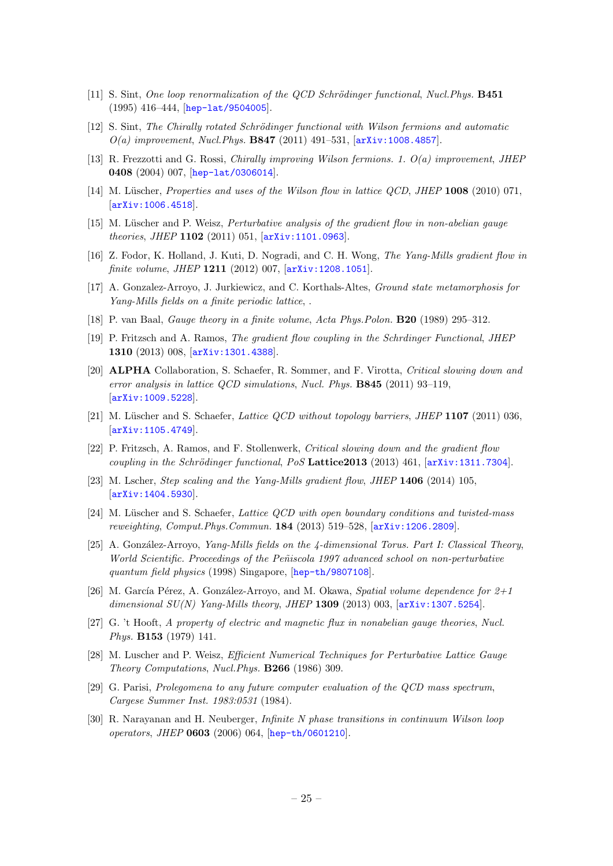- <span id="page-25-0"></span>[11] S. Sint, One loop renormalization of the QCD Schrödinger functional, Nucl. Phys. **B451** (1995) 416–444, [[hep-lat/9504005](http://xxx.lanl.gov/abs/hep-lat/9504005)].
- <span id="page-25-1"></span>[12] S. Sint, The Chirally rotated Schrödinger functional with Wilson fermions and automatic  $O(a)$  improvement, Nucl.Phys. B847 (2011) 491-531,  $[arXiv:1008.4857]$  $[arXiv:1008.4857]$  $[arXiv:1008.4857]$ .
- <span id="page-25-2"></span>[13] R. Frezzotti and G. Rossi, Chirally improving Wilson fermions. 1. O(a) improvement, JHEP 0408 (2004) 007, [[hep-lat/0306014](http://xxx.lanl.gov/abs/hep-lat/0306014)].
- <span id="page-25-3"></span>[14] M. Lüscher, Properties and uses of the Wilson flow in lattice QCD, JHEP 1008 (2010) 071, [[arXiv:1006.4518](http://xxx.lanl.gov/abs/1006.4518)].
- <span id="page-25-4"></span>[15] M. Lüscher and P. Weisz, *Perturbative analysis of the gradient flow in non-abelian gauge* theories, JHEP 1102 (2011) 051, [[arXiv:1101.0963](http://xxx.lanl.gov/abs/1101.0963)].
- <span id="page-25-5"></span>[16] Z. Fodor, K. Holland, J. Kuti, D. Nogradi, and C. H. Wong, The Yang-Mills gradient flow in finite volume, JHEP 1211 (2012) 007,  $\ar{xiv:1208.1051}$ .
- <span id="page-25-6"></span>[17] A. Gonzalez-Arroyo, J. Jurkiewicz, and C. Korthals-Altes, Ground state metamorphosis for Yang-Mills fields on a finite periodic lattice, .
- <span id="page-25-7"></span>[18] P. van Baal, Gauge theory in a finite volume, Acta Phys.Polon. B20 (1989) 295–312.
- <span id="page-25-8"></span>[19] P. Fritzsch and A. Ramos, The gradient flow coupling in the Schrdinger Functional, JHEP 1310 (2013) 008, [[arXiv:1301.4388](http://xxx.lanl.gov/abs/1301.4388)].
- <span id="page-25-9"></span>[20] ALPHA Collaboration, S. Schaefer, R. Sommer, and F. Virotta, Critical slowing down and error analysis in lattice QCD simulations, Nucl. Phys. B845 (2011) 93–119, [[arXiv:1009.5228](http://xxx.lanl.gov/abs/1009.5228)].
- <span id="page-25-10"></span>[21] M. Lüscher and S. Schaefer, Lattice QCD without topology barriers, JHEP  $1107$  (2011) 036,  $\vert$ [arXiv:1105.4749](http://xxx.lanl.gov/abs/1105.4749).
- <span id="page-25-11"></span>[22] P. Fritzsch, A. Ramos, and F. Stollenwerk, Critical slowing down and the gradient flow coupling in the Schrödinger functional, PoS Lattice 2013 (2013) 461,  $arXiv:1311.7304$ .
- <span id="page-25-12"></span>[23] M. Lscher, Step scaling and the Yang-Mills gradient flow, JHEP 1406 (2014) 105, [[arXiv:1404.5930](http://xxx.lanl.gov/abs/1404.5930)].
- <span id="page-25-13"></span>[24] M. Lüscher and S. Schaefer, Lattice QCD with open boundary conditions and twisted-mass reweighting, Comput.Phys.Commun. 184 (2013) 519–528, [[arXiv:1206.2809](http://xxx.lanl.gov/abs/1206.2809)].
- <span id="page-25-14"></span>[25] A. González-Arroyo, *Yang-Mills fields on the 4-dimensional Torus. Part I: Classical Theory*, World Scientific. Proceedings of the Peñiscola 1997 advanced school on non-perturbative quantum field physics (1998) Singapore, [[hep-th/9807108](http://xxx.lanl.gov/abs/hep-th/9807108)].
- <span id="page-25-15"></span>[26] M. García Pérez, A. González-Arroyo, and M. Okawa, Spatial volume dependence for  $2+1$ dimensional  $SU(N)$  Yang-Mills theory, JHEP 1309 (2013) 003,  $[\text{arXiv}:1307.5254]$ .
- <span id="page-25-16"></span>[27] G. 't Hooft, A property of electric and magnetic flux in nonabelian gauge theories, Nucl. Phys. B153 (1979) 141.
- <span id="page-25-17"></span>[28] M. Luscher and P. Weisz, Efficient Numerical Techniques for Perturbative Lattice Gauge Theory Computations, Nucl.Phys. B266 (1986) 309.
- <span id="page-25-18"></span>[29] G. Parisi, Prolegomena to any future computer evaluation of the QCD mass spectrum, Cargese Summer Inst. 1983:0531 (1984).
- <span id="page-25-19"></span>[30] R. Narayanan and H. Neuberger, Infinite N phase transitions in continuum Wilson loop operators, JHEP 0603 (2006) 064, [[hep-th/0601210](http://xxx.lanl.gov/abs/hep-th/0601210)].